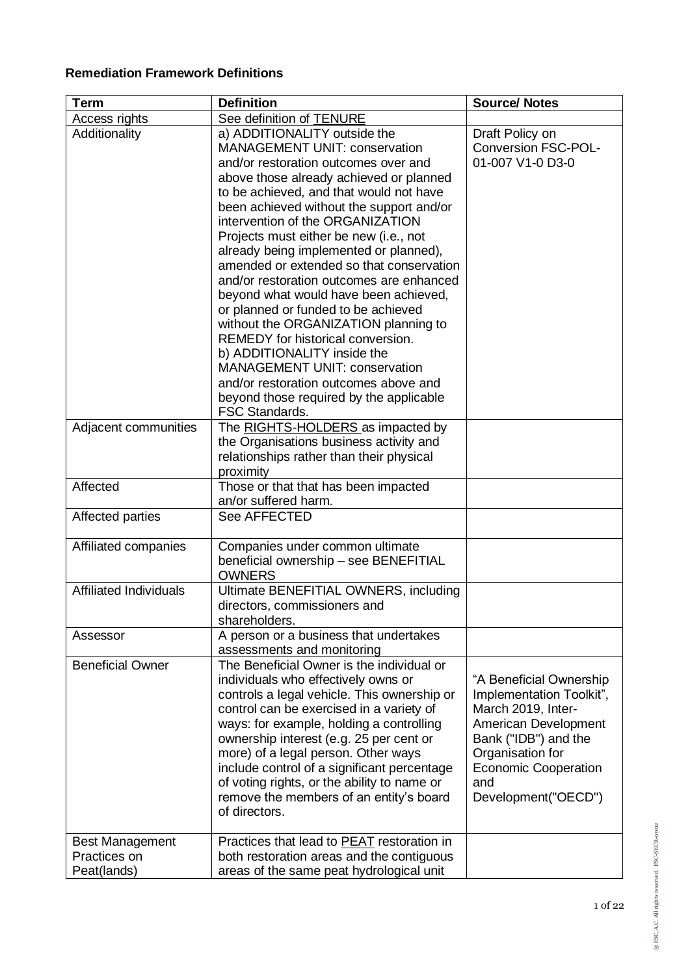## **Remediation Framework Definitions**

| Term                          | <b>Definition</b>                                                                | <b>Source/ Notes</b>        |
|-------------------------------|----------------------------------------------------------------------------------|-----------------------------|
| Access rights                 | See definition of TENURE                                                         |                             |
| Additionality                 | a) ADDITIONALITY outside the                                                     | Draft Policy on             |
|                               | <b>MANAGEMENT UNIT: conservation</b>                                             | <b>Conversion FSC-POL-</b>  |
|                               | and/or restoration outcomes over and                                             | 01-007 V1-0 D3-0            |
|                               | above those already achieved or planned                                          |                             |
|                               | to be achieved, and that would not have                                          |                             |
|                               | been achieved without the support and/or                                         |                             |
|                               | intervention of the ORGANIZATION                                                 |                             |
|                               | Projects must either be new (i.e., not                                           |                             |
|                               | already being implemented or planned),                                           |                             |
|                               | amended or extended so that conservation                                         |                             |
|                               | and/or restoration outcomes are enhanced                                         |                             |
|                               | beyond what would have been achieved,                                            |                             |
|                               | or planned or funded to be achieved                                              |                             |
|                               | without the ORGANIZATION planning to<br><b>REMEDY</b> for historical conversion. |                             |
|                               | b) ADDITIONALITY inside the                                                      |                             |
|                               | <b>MANAGEMENT UNIT: conservation</b>                                             |                             |
|                               | and/or restoration outcomes above and                                            |                             |
|                               | beyond those required by the applicable                                          |                             |
|                               | <b>FSC Standards.</b>                                                            |                             |
| Adjacent communities          | The RIGHTS-HOLDERS as impacted by                                                |                             |
|                               | the Organisations business activity and                                          |                             |
|                               | relationships rather than their physical                                         |                             |
|                               | proximity                                                                        |                             |
| Affected                      | Those or that that has been impacted                                             |                             |
|                               | an/or suffered harm.                                                             |                             |
| Affected parties              | <b>See AFFECTED</b>                                                              |                             |
|                               |                                                                                  |                             |
| Affiliated companies          | Companies under common ultimate                                                  |                             |
|                               | beneficial ownership - see BENEFITIAL<br><b>OWNERS</b>                           |                             |
| <b>Affiliated Individuals</b> | Ultimate BENEFITIAL OWNERS, including                                            |                             |
|                               | directors, commissioners and                                                     |                             |
|                               | shareholders.                                                                    |                             |
| Assessor                      | A person or a business that undertakes                                           |                             |
|                               | assessments and monitoring                                                       |                             |
| <b>Beneficial Owner</b>       | The Beneficial Owner is the individual or                                        |                             |
|                               | individuals who effectively owns or                                              | "A Beneficial Ownership     |
|                               | controls a legal vehicle. This ownership or                                      | Implementation Toolkit",    |
|                               | control can be exercised in a variety of                                         | March 2019, Inter-          |
|                               | ways: for example, holding a controlling                                         | American Development        |
|                               | ownership interest (e.g. 25 per cent or                                          | Bank ("IDB") and the        |
|                               | more) of a legal person. Other ways                                              | Organisation for            |
|                               | include control of a significant percentage                                      | <b>Economic Cooperation</b> |
|                               | of voting rights, or the ability to name or                                      | and                         |
|                               | remove the members of an entity's board                                          | Development("OECD")         |
|                               | of directors.                                                                    |                             |
| <b>Best Management</b>        | Practices that lead to PEAT restoration in                                       |                             |
| Practices on                  | both restoration areas and the contiguous                                        |                             |
| Peat(lands)                   | areas of the same peat hydrological unit                                         |                             |
|                               |                                                                                  |                             |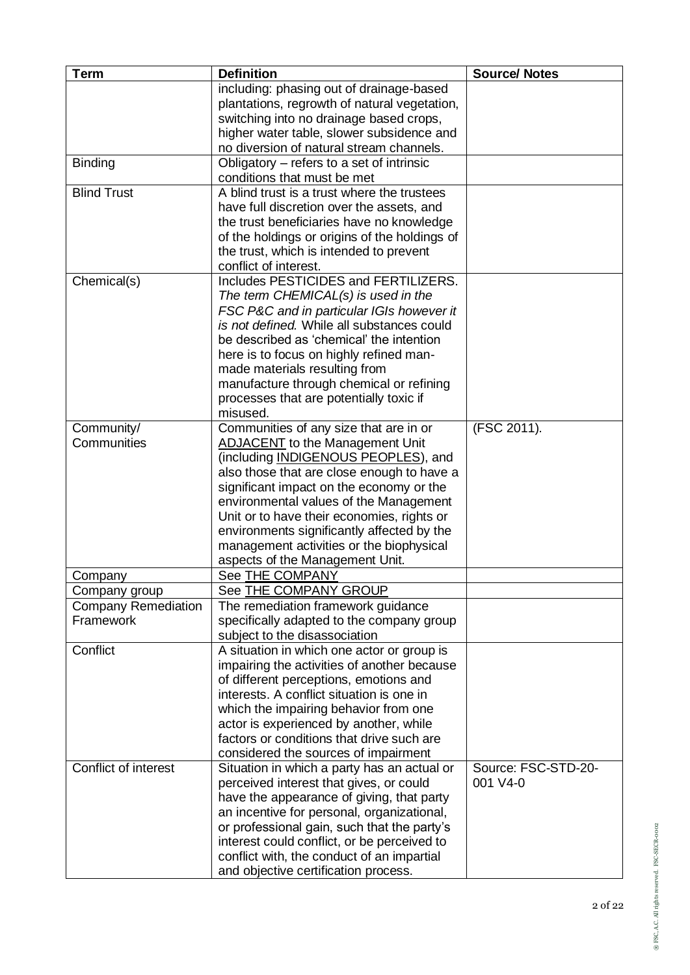| <b>Term</b>                | <b>Definition</b>                                                                    | <b>Source/ Notes</b>            |
|----------------------------|--------------------------------------------------------------------------------------|---------------------------------|
|                            | including: phasing out of drainage-based                                             |                                 |
|                            | plantations, regrowth of natural vegetation,                                         |                                 |
|                            | switching into no drainage based crops,                                              |                                 |
|                            | higher water table, slower subsidence and                                            |                                 |
|                            | no diversion of natural stream channels.                                             |                                 |
| <b>Binding</b>             | Obligatory – refers to a set of intrinsic                                            |                                 |
|                            | conditions that must be met                                                          |                                 |
| <b>Blind Trust</b>         | A blind trust is a trust where the trustees                                          |                                 |
|                            | have full discretion over the assets, and                                            |                                 |
|                            | the trust beneficiaries have no knowledge                                            |                                 |
|                            | of the holdings or origins of the holdings of                                        |                                 |
|                            | the trust, which is intended to prevent                                              |                                 |
|                            | conflict of interest.                                                                |                                 |
| Chemical(s)                | Includes PESTICIDES and FERTILIZERS.                                                 |                                 |
|                            | The term CHEMICAL(s) is used in the                                                  |                                 |
|                            | FSC P&C and in particular IGIs however it                                            |                                 |
|                            | is not defined. While all substances could                                           |                                 |
|                            | be described as 'chemical' the intention                                             |                                 |
|                            | here is to focus on highly refined man-                                              |                                 |
|                            | made materials resulting from                                                        |                                 |
|                            | manufacture through chemical or refining                                             |                                 |
|                            | processes that are potentially toxic if<br>misused.                                  |                                 |
|                            |                                                                                      |                                 |
| Community/<br>Communities  | Communities of any size that are in or                                               | (FSC 2011).                     |
|                            | ADJACENT to the Management Unit<br>(including INDIGENOUS PEOPLES), and               |                                 |
|                            | also those that are close enough to have a                                           |                                 |
|                            | significant impact on the economy or the                                             |                                 |
|                            | environmental values of the Management                                               |                                 |
|                            | Unit or to have their economies, rights or                                           |                                 |
|                            | environments significantly affected by the                                           |                                 |
|                            | management activities or the biophysical                                             |                                 |
|                            | aspects of the Management Unit.                                                      |                                 |
| Company                    | See THE COMPANY                                                                      |                                 |
| Company group              | See THE COMPANY GROUP                                                                |                                 |
| <b>Company Remediation</b> | The remediation framework guidance                                                   |                                 |
| Framework                  | specifically adapted to the company group                                            |                                 |
|                            | subject to the disassociation                                                        |                                 |
| Conflict                   | A situation in which one actor or group is                                           |                                 |
|                            | impairing the activities of another because                                          |                                 |
|                            | of different perceptions, emotions and                                               |                                 |
|                            | interests. A conflict situation is one in                                            |                                 |
|                            | which the impairing behavior from one                                                |                                 |
|                            | actor is experienced by another, while                                               |                                 |
|                            | factors or conditions that drive such are                                            |                                 |
|                            | considered the sources of impairment                                                 |                                 |
| Conflict of interest       | Situation in which a party has an actual or                                          | Source: FSC-STD-20-<br>001 V4-0 |
|                            | perceived interest that gives, or could<br>have the appearance of giving, that party |                                 |
|                            | an incentive for personal, organizational,                                           |                                 |
|                            | or professional gain, such that the party's                                          |                                 |
|                            | interest could conflict, or be perceived to                                          |                                 |
|                            | conflict with, the conduct of an impartial                                           |                                 |
|                            | and objective certification process.                                                 |                                 |
|                            |                                                                                      |                                 |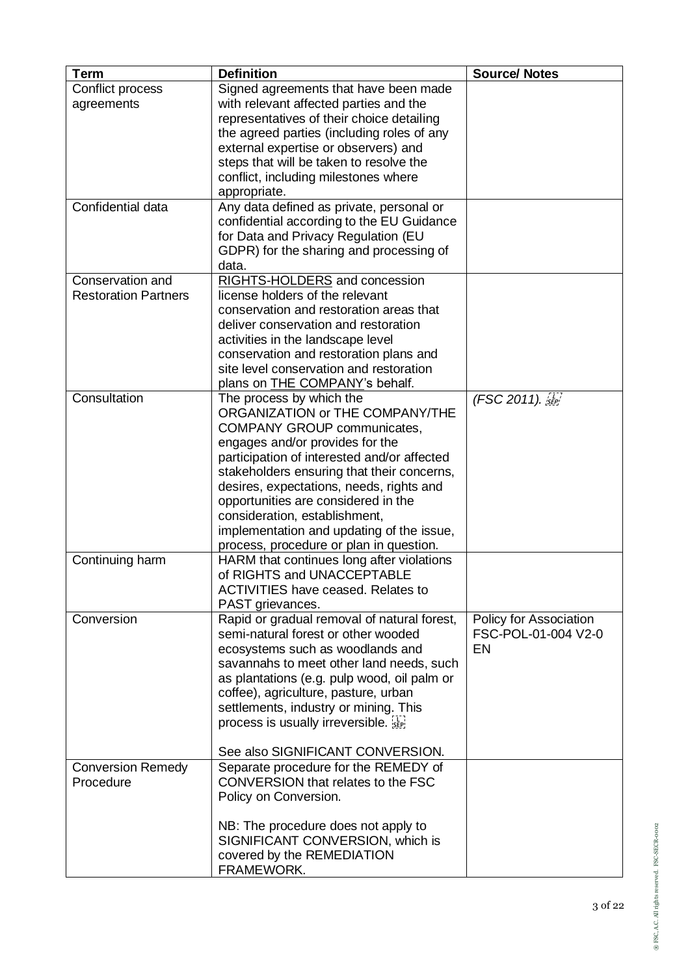| <b>Term</b>                 | <b>Definition</b>                           | <b>Source/ Notes</b>   |
|-----------------------------|---------------------------------------------|------------------------|
| Conflict process            | Signed agreements that have been made       |                        |
| agreements                  | with relevant affected parties and the      |                        |
|                             | representatives of their choice detailing   |                        |
|                             | the agreed parties (including roles of any  |                        |
|                             | external expertise or observers) and        |                        |
|                             | steps that will be taken to resolve the     |                        |
|                             | conflict, including milestones where        |                        |
|                             | appropriate.                                |                        |
| Confidential data           | Any data defined as private, personal or    |                        |
|                             | confidential according to the EU Guidance   |                        |
|                             | for Data and Privacy Regulation (EU         |                        |
|                             | GDPR) for the sharing and processing of     |                        |
|                             | data.                                       |                        |
| Conservation and            | RIGHTS-HOLDERS and concession               |                        |
| <b>Restoration Partners</b> | license holders of the relevant             |                        |
|                             | conservation and restoration areas that     |                        |
|                             | deliver conservation and restoration        |                        |
|                             | activities in the landscape level           |                        |
|                             | conservation and restoration plans and      |                        |
|                             | site level conservation and restoration     |                        |
|                             | plans on THE COMPANY's behalf.              |                        |
| Consultation                | The process by which the                    | (FSC 2011). [1]        |
|                             | ORGANIZATION or THE COMPANY/THE             |                        |
|                             | <b>COMPANY GROUP communicates,</b>          |                        |
|                             | engages and/or provides for the             |                        |
|                             | participation of interested and/or affected |                        |
|                             | stakeholders ensuring that their concerns,  |                        |
|                             | desires, expectations, needs, rights and    |                        |
|                             | opportunities are considered in the         |                        |
|                             | consideration, establishment,               |                        |
|                             | implementation and updating of the issue,   |                        |
|                             | process, procedure or plan in question.     |                        |
| Continuing harm             | HARM that continues long after violations   |                        |
|                             | of RIGHTS and UNACCEPTABLE                  |                        |
|                             | <b>ACTIVITIES have ceased. Relates to</b>   |                        |
|                             | PAST grievances.                            |                        |
| Conversion                  | Rapid or gradual removal of natural forest, | Policy for Association |
|                             | semi-natural forest or other wooded         | FSC-POL-01-004 V2-0    |
|                             | ecosystems such as woodlands and            | <b>EN</b>              |
|                             | savannahs to meet other land needs, such    |                        |
|                             | as plantations (e.g. pulp wood, oil palm or |                        |
|                             | coffee), agriculture, pasture, urban        |                        |
|                             | settlements, industry or mining. This       |                        |
|                             | process is usually irreversible.            |                        |
|                             | See also SIGNIFICANT CONVERSION.            |                        |
| <b>Conversion Remedy</b>    | Separate procedure for the REMEDY of        |                        |
| Procedure                   | CONVERSION that relates to the FSC          |                        |
|                             | Policy on Conversion.                       |                        |
|                             |                                             |                        |
|                             | NB: The procedure does not apply to         |                        |
|                             | SIGNIFICANT CONVERSION, which is            |                        |
|                             | covered by the REMEDIATION                  |                        |
|                             | FRAMEWORK.                                  |                        |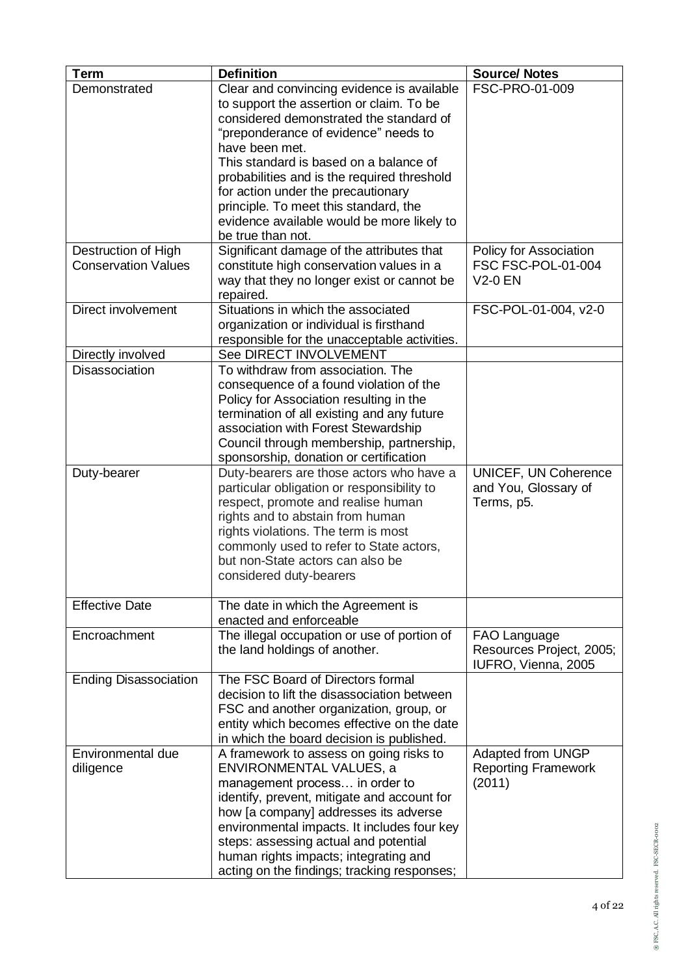| <b>Term</b>                  | <b>Definition</b>                            | <b>Source/ Notes</b>       |
|------------------------------|----------------------------------------------|----------------------------|
| Demonstrated                 | Clear and convincing evidence is available   | FSC-PRO-01-009             |
|                              | to support the assertion or claim. To be     |                            |
|                              | considered demonstrated the standard of      |                            |
|                              | "preponderance of evidence" needs to         |                            |
|                              | have been met.                               |                            |
|                              | This standard is based on a balance of       |                            |
|                              | probabilities and is the required threshold  |                            |
|                              | for action under the precautionary           |                            |
|                              | principle. To meet this standard, the        |                            |
|                              | evidence available would be more likely to   |                            |
|                              | be true than not.                            |                            |
| Destruction of High          | Significant damage of the attributes that    | Policy for Association     |
| <b>Conservation Values</b>   | constitute high conservation values in a     | FSC FSC-POL-01-004         |
|                              | way that they no longer exist or cannot be   | <b>V2-0 EN</b>             |
|                              | repaired.                                    |                            |
| Direct involvement           | Situations in which the associated           | FSC-POL-01-004, v2-0       |
|                              | organization or individual is firsthand      |                            |
|                              | responsible for the unacceptable activities. |                            |
| Directly involved            | See DIRECT INVOLVEMENT                       |                            |
| Disassociation               | To withdraw from association. The            |                            |
|                              | consequence of a found violation of the      |                            |
|                              | Policy for Association resulting in the      |                            |
|                              | termination of all existing and any future   |                            |
|                              | association with Forest Stewardship          |                            |
|                              | Council through membership, partnership,     |                            |
|                              | sponsorship, donation or certification       |                            |
| Duty-bearer                  | Duty-bearers are those actors who have a     | UNICEF, UN Coherence       |
|                              | particular obligation or responsibility to   | and You, Glossary of       |
|                              | respect, promote and realise human           | Terms, p5.                 |
|                              | rights and to abstain from human             |                            |
|                              | rights violations. The term is most          |                            |
|                              | commonly used to refer to State actors,      |                            |
|                              | but non-State actors can also be             |                            |
|                              | considered duty-bearers                      |                            |
| <b>Effective Date</b>        | The date in which the Agreement is           |                            |
|                              | enacted and enforceable                      |                            |
| Encroachment                 | The illegal occupation or use of portion of  | FAO Language               |
|                              | the land holdings of another.                | Resources Project, 2005;   |
|                              |                                              | IUFRO, Vienna, 2005        |
| <b>Ending Disassociation</b> | The FSC Board of Directors formal            |                            |
|                              | decision to lift the disassociation between  |                            |
|                              | FSC and another organization, group, or      |                            |
|                              | entity which becomes effective on the date   |                            |
|                              | in which the board decision is published.    |                            |
| Environmental due            | A framework to assess on going risks to      | Adapted from UNGP          |
| diligence                    | ENVIRONMENTAL VALUES, a                      | <b>Reporting Framework</b> |
|                              | management process in order to               | (2011)                     |
|                              | identify, prevent, mitigate and account for  |                            |
|                              | how [a company] addresses its adverse        |                            |
|                              | environmental impacts. It includes four key  |                            |
|                              | steps: assessing actual and potential        |                            |
|                              | human rights impacts; integrating and        |                            |
|                              | acting on the findings; tracking responses;  |                            |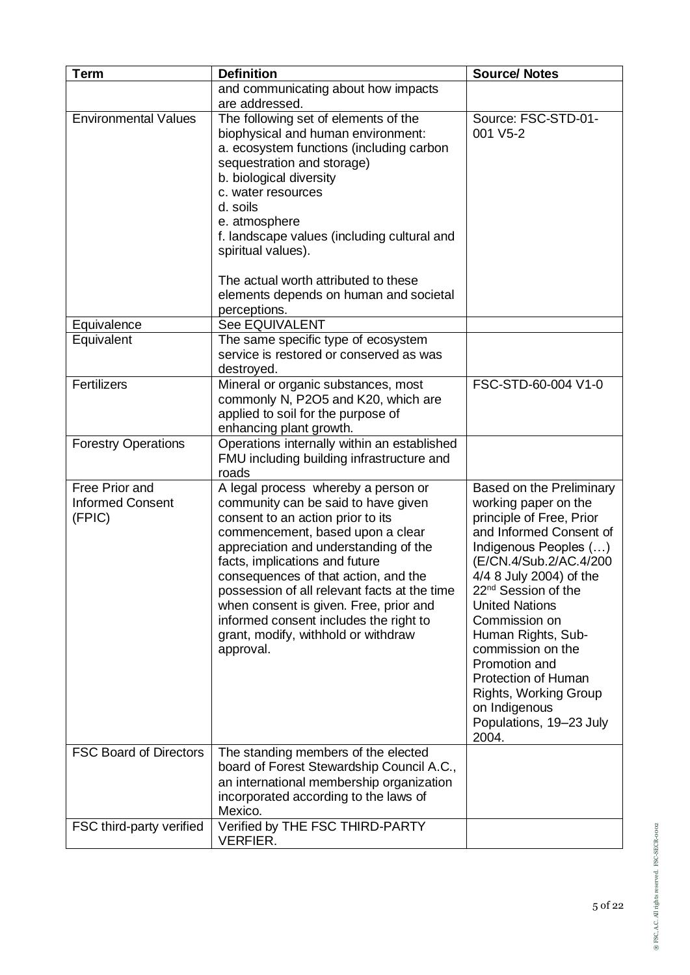| <b>Term</b>                                         | <b>Definition</b>                                                                                                                                                                                                                                                                                                                                                                                                                                              | <b>Source/ Notes</b>                                                                                                                                                                                                                                                                                                                                                                                                                              |
|-----------------------------------------------------|----------------------------------------------------------------------------------------------------------------------------------------------------------------------------------------------------------------------------------------------------------------------------------------------------------------------------------------------------------------------------------------------------------------------------------------------------------------|---------------------------------------------------------------------------------------------------------------------------------------------------------------------------------------------------------------------------------------------------------------------------------------------------------------------------------------------------------------------------------------------------------------------------------------------------|
|                                                     | and communicating about how impacts                                                                                                                                                                                                                                                                                                                                                                                                                            |                                                                                                                                                                                                                                                                                                                                                                                                                                                   |
|                                                     | are addressed.                                                                                                                                                                                                                                                                                                                                                                                                                                                 |                                                                                                                                                                                                                                                                                                                                                                                                                                                   |
| <b>Environmental Values</b>                         | The following set of elements of the<br>biophysical and human environment:<br>a. ecosystem functions (including carbon<br>sequestration and storage)<br>b. biological diversity<br>c. water resources<br>d. soils<br>e. atmosphere<br>f. landscape values (including cultural and<br>spiritual values).                                                                                                                                                        | Source: FSC-STD-01-<br>001 V5-2                                                                                                                                                                                                                                                                                                                                                                                                                   |
|                                                     | The actual worth attributed to these<br>elements depends on human and societal<br>perceptions.                                                                                                                                                                                                                                                                                                                                                                 |                                                                                                                                                                                                                                                                                                                                                                                                                                                   |
| Equivalence                                         | <b>See EQUIVALENT</b>                                                                                                                                                                                                                                                                                                                                                                                                                                          |                                                                                                                                                                                                                                                                                                                                                                                                                                                   |
| Equivalent                                          | The same specific type of ecosystem<br>service is restored or conserved as was<br>destroyed.                                                                                                                                                                                                                                                                                                                                                                   |                                                                                                                                                                                                                                                                                                                                                                                                                                                   |
| Fertilizers                                         | Mineral or organic substances, most<br>commonly N, P2O5 and K20, which are<br>applied to soil for the purpose of<br>enhancing plant growth.                                                                                                                                                                                                                                                                                                                    | FSC-STD-60-004 V1-0                                                                                                                                                                                                                                                                                                                                                                                                                               |
| <b>Forestry Operations</b>                          | Operations internally within an established<br>FMU including building infrastructure and<br>roads                                                                                                                                                                                                                                                                                                                                                              |                                                                                                                                                                                                                                                                                                                                                                                                                                                   |
| Free Prior and<br><b>Informed Consent</b><br>(FPIC) | A legal process whereby a person or<br>community can be said to have given<br>consent to an action prior to its<br>commencement, based upon a clear<br>appreciation and understanding of the<br>facts, implications and future<br>consequences of that action, and the<br>possession of all relevant facts at the time<br>when consent is given. Free, prior and<br>informed consent includes the right to<br>grant, modify, withhold or withdraw<br>approval. | Based on the Preliminary<br>working paper on the<br>principle of Free, Prior<br>and Informed Consent of<br>Indigenous Peoples ()<br>(E/CN.4/Sub.2/AC.4/200<br>4/4 8 July 2004) of the<br>22 <sup>nd</sup> Session of the<br><b>United Nations</b><br>Commission on<br>Human Rights, Sub-<br>commission on the<br>Promotion and<br><b>Protection of Human</b><br><b>Rights, Working Group</b><br>on Indigenous<br>Populations, 19-23 July<br>2004. |
| <b>FSC Board of Directors</b>                       | The standing members of the elected<br>board of Forest Stewardship Council A.C.,<br>an international membership organization<br>incorporated according to the laws of<br>Mexico.                                                                                                                                                                                                                                                                               |                                                                                                                                                                                                                                                                                                                                                                                                                                                   |
| FSC third-party verified                            | Verified by THE FSC THIRD-PARTY<br><b>VERFIER.</b>                                                                                                                                                                                                                                                                                                                                                                                                             |                                                                                                                                                                                                                                                                                                                                                                                                                                                   |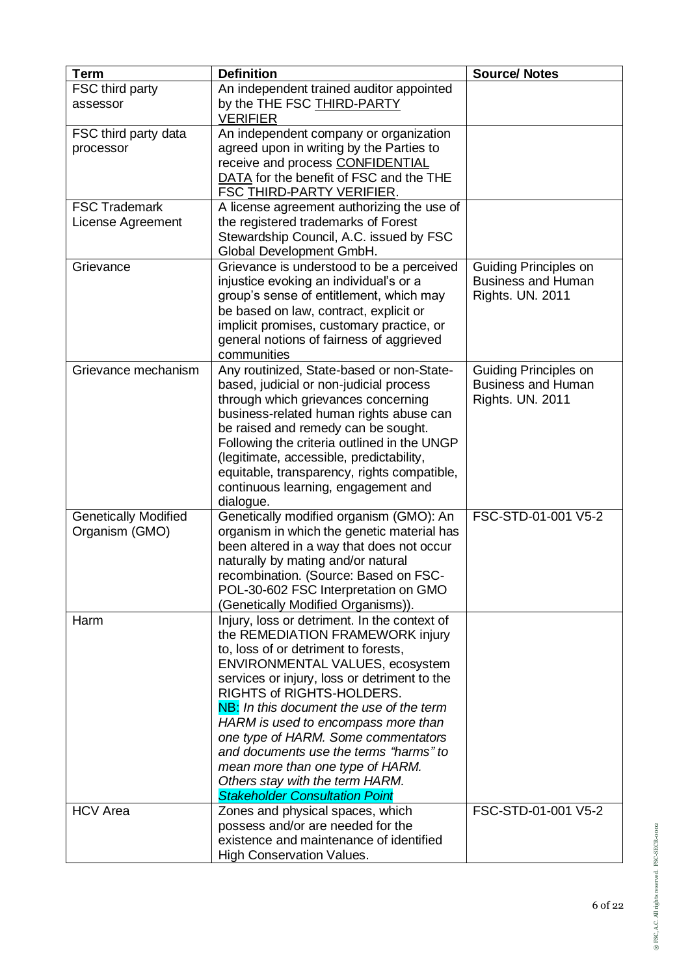| <b>Term</b>                 | <b>Definition</b>                                                                       | <b>Source/ Notes</b>                                      |
|-----------------------------|-----------------------------------------------------------------------------------------|-----------------------------------------------------------|
| FSC third party             | An independent trained auditor appointed                                                |                                                           |
| assessor                    | by the THE FSC THIRD-PARTY<br><b>VERIFIER</b>                                           |                                                           |
| FSC third party data        | An independent company or organization                                                  |                                                           |
| processor                   | agreed upon in writing by the Parties to                                                |                                                           |
|                             | receive and process CONFIDENTIAL                                                        |                                                           |
|                             | DATA for the benefit of FSC and the THE                                                 |                                                           |
|                             | FSC THIRD-PARTY VERIFIER.                                                               |                                                           |
| <b>FSC Trademark</b>        | A license agreement authorizing the use of                                              |                                                           |
| License Agreement           | the registered trademarks of Forest                                                     |                                                           |
|                             | Stewardship Council, A.C. issued by FSC                                                 |                                                           |
|                             | Global Development GmbH.                                                                |                                                           |
| Grievance                   | Grievance is understood to be a perceived<br>injustice evoking an individual's or a     | <b>Guiding Principles on</b><br><b>Business and Human</b> |
|                             | group's sense of entitlement, which may                                                 | <b>Rights. UN. 2011</b>                                   |
|                             | be based on law, contract, explicit or                                                  |                                                           |
|                             | implicit promises, customary practice, or                                               |                                                           |
|                             | general notions of fairness of aggrieved                                                |                                                           |
|                             | communities                                                                             |                                                           |
| Grievance mechanism         | Any routinized, State-based or non-State-                                               | Guiding Principles on                                     |
|                             | based, judicial or non-judicial process                                                 | <b>Business and Human</b>                                 |
|                             | through which grievances concerning                                                     | <b>Rights. UN. 2011</b>                                   |
|                             | business-related human rights abuse can                                                 |                                                           |
|                             | be raised and remedy can be sought.                                                     |                                                           |
|                             | Following the criteria outlined in the UNGP<br>(legitimate, accessible, predictability, |                                                           |
|                             | equitable, transparency, rights compatible,                                             |                                                           |
|                             | continuous learning, engagement and                                                     |                                                           |
|                             | dialogue.                                                                               |                                                           |
| <b>Genetically Modified</b> | Genetically modified organism (GMO): An                                                 | FSC-STD-01-001 V5-2                                       |
| Organism (GMO)              | organism in which the genetic material has                                              |                                                           |
|                             | been altered in a way that does not occur                                               |                                                           |
|                             | naturally by mating and/or natural                                                      |                                                           |
|                             | recombination. (Source: Based on FSC-                                                   |                                                           |
|                             | POL-30-602 FSC Interpretation on GMO                                                    |                                                           |
| Harm                        | (Genetically Modified Organisms)).<br>Injury, loss or detriment. In the context of      |                                                           |
|                             | the REMEDIATION FRAMEWORK injury                                                        |                                                           |
|                             | to, loss of or detriment to forests,                                                    |                                                           |
|                             | ENVIRONMENTAL VALUES, ecosystem                                                         |                                                           |
|                             | services or injury, loss or detriment to the                                            |                                                           |
|                             | RIGHTS of RIGHTS-HOLDERS.                                                               |                                                           |
|                             | NB: In this document the use of the term                                                |                                                           |
|                             | HARM is used to encompass more than                                                     |                                                           |
|                             | one type of HARM. Some commentators<br>and documents use the terms "harms" to           |                                                           |
|                             | mean more than one type of HARM.                                                        |                                                           |
|                             | Others stay with the term HARM.                                                         |                                                           |
|                             | <b>Stakeholder Consultation Point</b>                                                   |                                                           |
| <b>HCV</b> Area             | Zones and physical spaces, which                                                        | FSC-STD-01-001 V5-2                                       |
|                             | possess and/or are needed for the                                                       |                                                           |
|                             | existence and maintenance of identified                                                 |                                                           |
|                             | <b>High Conservation Values.</b>                                                        |                                                           |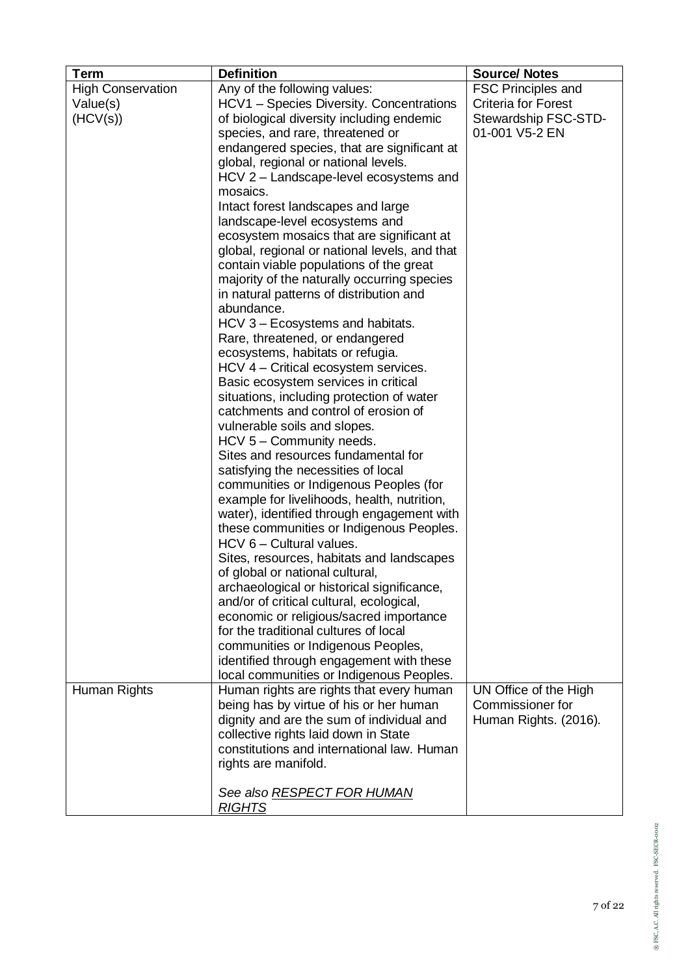| Any of the following values:<br>FSC Principles and<br><b>High Conservation</b><br>HCV1 - Species Diversity. Concentrations<br><b>Criteria for Forest</b><br>Value(s)<br>Stewardship FSC-STD-<br>(HCV(s))<br>of biological diversity including endemic<br>species, and rare, threatened or<br>01-001 V5-2 EN<br>endangered species, that are significant at<br>global, regional or national levels.<br>HCV 2 – Landscape-level ecosystems and<br>mosaics.<br>Intact forest landscapes and large<br>landscape-level ecosystems and<br>ecosystem mosaics that are significant at<br>global, regional or national levels, and that<br>contain viable populations of the great<br>majority of the naturally occurring species<br>in natural patterns of distribution and<br>abundance.<br>HCV 3 - Ecosystems and habitats.<br>Rare, threatened, or endangered<br>ecosystems, habitats or refugia.<br>HCV 4 - Critical ecosystem services.<br>Basic ecosystem services in critical<br>situations, including protection of water<br>catchments and control of erosion of<br>vulnerable soils and slopes.<br>HCV 5 - Community needs.<br>Sites and resources fundamental for<br>satisfying the necessities of local<br>communities or Indigenous Peoples (for<br>example for livelihoods, health, nutrition,<br>water), identified through engagement with<br>these communities or Indigenous Peoples.<br>HCV 6 - Cultural values.<br>Sites, resources, habitats and landscapes<br>of global or national cultural,<br>archaeological or historical significance,<br>and/or of critical cultural, ecological,<br>economic or religious/sacred importance<br>for the traditional cultures of local<br>communities or Indigenous Peoples,<br>identified through engagement with these<br>local communities or Indigenous Peoples.<br>Human Rights<br>Human rights are rights that every human<br>UN Office of the High<br>being has by virtue of his or her human<br>Commissioner for<br>dignity and are the sum of individual and<br>Human Rights. (2016).<br>collective rights laid down in State<br>constitutions and international law. Human<br>rights are manifold. | <b>Term</b> | <b>Definition</b>          | <b>Source/ Notes</b> |
|----------------------------------------------------------------------------------------------------------------------------------------------------------------------------------------------------------------------------------------------------------------------------------------------------------------------------------------------------------------------------------------------------------------------------------------------------------------------------------------------------------------------------------------------------------------------------------------------------------------------------------------------------------------------------------------------------------------------------------------------------------------------------------------------------------------------------------------------------------------------------------------------------------------------------------------------------------------------------------------------------------------------------------------------------------------------------------------------------------------------------------------------------------------------------------------------------------------------------------------------------------------------------------------------------------------------------------------------------------------------------------------------------------------------------------------------------------------------------------------------------------------------------------------------------------------------------------------------------------------------------------------------------------------------------------------------------------------------------------------------------------------------------------------------------------------------------------------------------------------------------------------------------------------------------------------------------------------------------------------------------------------------------------------------------------------------------------------------------------------------------------------------------------------|-------------|----------------------------|----------------------|
|                                                                                                                                                                                                                                                                                                                                                                                                                                                                                                                                                                                                                                                                                                                                                                                                                                                                                                                                                                                                                                                                                                                                                                                                                                                                                                                                                                                                                                                                                                                                                                                                                                                                                                                                                                                                                                                                                                                                                                                                                                                                                                                                                                |             |                            |                      |
|                                                                                                                                                                                                                                                                                                                                                                                                                                                                                                                                                                                                                                                                                                                                                                                                                                                                                                                                                                                                                                                                                                                                                                                                                                                                                                                                                                                                                                                                                                                                                                                                                                                                                                                                                                                                                                                                                                                                                                                                                                                                                                                                                                |             |                            |                      |
|                                                                                                                                                                                                                                                                                                                                                                                                                                                                                                                                                                                                                                                                                                                                                                                                                                                                                                                                                                                                                                                                                                                                                                                                                                                                                                                                                                                                                                                                                                                                                                                                                                                                                                                                                                                                                                                                                                                                                                                                                                                                                                                                                                |             |                            |                      |
|                                                                                                                                                                                                                                                                                                                                                                                                                                                                                                                                                                                                                                                                                                                                                                                                                                                                                                                                                                                                                                                                                                                                                                                                                                                                                                                                                                                                                                                                                                                                                                                                                                                                                                                                                                                                                                                                                                                                                                                                                                                                                                                                                                |             |                            |                      |
|                                                                                                                                                                                                                                                                                                                                                                                                                                                                                                                                                                                                                                                                                                                                                                                                                                                                                                                                                                                                                                                                                                                                                                                                                                                                                                                                                                                                                                                                                                                                                                                                                                                                                                                                                                                                                                                                                                                                                                                                                                                                                                                                                                |             |                            |                      |
|                                                                                                                                                                                                                                                                                                                                                                                                                                                                                                                                                                                                                                                                                                                                                                                                                                                                                                                                                                                                                                                                                                                                                                                                                                                                                                                                                                                                                                                                                                                                                                                                                                                                                                                                                                                                                                                                                                                                                                                                                                                                                                                                                                |             |                            |                      |
|                                                                                                                                                                                                                                                                                                                                                                                                                                                                                                                                                                                                                                                                                                                                                                                                                                                                                                                                                                                                                                                                                                                                                                                                                                                                                                                                                                                                                                                                                                                                                                                                                                                                                                                                                                                                                                                                                                                                                                                                                                                                                                                                                                |             |                            |                      |
|                                                                                                                                                                                                                                                                                                                                                                                                                                                                                                                                                                                                                                                                                                                                                                                                                                                                                                                                                                                                                                                                                                                                                                                                                                                                                                                                                                                                                                                                                                                                                                                                                                                                                                                                                                                                                                                                                                                                                                                                                                                                                                                                                                |             |                            |                      |
|                                                                                                                                                                                                                                                                                                                                                                                                                                                                                                                                                                                                                                                                                                                                                                                                                                                                                                                                                                                                                                                                                                                                                                                                                                                                                                                                                                                                                                                                                                                                                                                                                                                                                                                                                                                                                                                                                                                                                                                                                                                                                                                                                                |             |                            |                      |
|                                                                                                                                                                                                                                                                                                                                                                                                                                                                                                                                                                                                                                                                                                                                                                                                                                                                                                                                                                                                                                                                                                                                                                                                                                                                                                                                                                                                                                                                                                                                                                                                                                                                                                                                                                                                                                                                                                                                                                                                                                                                                                                                                                |             |                            |                      |
|                                                                                                                                                                                                                                                                                                                                                                                                                                                                                                                                                                                                                                                                                                                                                                                                                                                                                                                                                                                                                                                                                                                                                                                                                                                                                                                                                                                                                                                                                                                                                                                                                                                                                                                                                                                                                                                                                                                                                                                                                                                                                                                                                                |             |                            |                      |
|                                                                                                                                                                                                                                                                                                                                                                                                                                                                                                                                                                                                                                                                                                                                                                                                                                                                                                                                                                                                                                                                                                                                                                                                                                                                                                                                                                                                                                                                                                                                                                                                                                                                                                                                                                                                                                                                                                                                                                                                                                                                                                                                                                |             |                            |                      |
|                                                                                                                                                                                                                                                                                                                                                                                                                                                                                                                                                                                                                                                                                                                                                                                                                                                                                                                                                                                                                                                                                                                                                                                                                                                                                                                                                                                                                                                                                                                                                                                                                                                                                                                                                                                                                                                                                                                                                                                                                                                                                                                                                                |             |                            |                      |
|                                                                                                                                                                                                                                                                                                                                                                                                                                                                                                                                                                                                                                                                                                                                                                                                                                                                                                                                                                                                                                                                                                                                                                                                                                                                                                                                                                                                                                                                                                                                                                                                                                                                                                                                                                                                                                                                                                                                                                                                                                                                                                                                                                |             |                            |                      |
|                                                                                                                                                                                                                                                                                                                                                                                                                                                                                                                                                                                                                                                                                                                                                                                                                                                                                                                                                                                                                                                                                                                                                                                                                                                                                                                                                                                                                                                                                                                                                                                                                                                                                                                                                                                                                                                                                                                                                                                                                                                                                                                                                                |             |                            |                      |
|                                                                                                                                                                                                                                                                                                                                                                                                                                                                                                                                                                                                                                                                                                                                                                                                                                                                                                                                                                                                                                                                                                                                                                                                                                                                                                                                                                                                                                                                                                                                                                                                                                                                                                                                                                                                                                                                                                                                                                                                                                                                                                                                                                |             |                            |                      |
|                                                                                                                                                                                                                                                                                                                                                                                                                                                                                                                                                                                                                                                                                                                                                                                                                                                                                                                                                                                                                                                                                                                                                                                                                                                                                                                                                                                                                                                                                                                                                                                                                                                                                                                                                                                                                                                                                                                                                                                                                                                                                                                                                                |             |                            |                      |
|                                                                                                                                                                                                                                                                                                                                                                                                                                                                                                                                                                                                                                                                                                                                                                                                                                                                                                                                                                                                                                                                                                                                                                                                                                                                                                                                                                                                                                                                                                                                                                                                                                                                                                                                                                                                                                                                                                                                                                                                                                                                                                                                                                |             |                            |                      |
|                                                                                                                                                                                                                                                                                                                                                                                                                                                                                                                                                                                                                                                                                                                                                                                                                                                                                                                                                                                                                                                                                                                                                                                                                                                                                                                                                                                                                                                                                                                                                                                                                                                                                                                                                                                                                                                                                                                                                                                                                                                                                                                                                                |             |                            |                      |
|                                                                                                                                                                                                                                                                                                                                                                                                                                                                                                                                                                                                                                                                                                                                                                                                                                                                                                                                                                                                                                                                                                                                                                                                                                                                                                                                                                                                                                                                                                                                                                                                                                                                                                                                                                                                                                                                                                                                                                                                                                                                                                                                                                |             |                            |                      |
|                                                                                                                                                                                                                                                                                                                                                                                                                                                                                                                                                                                                                                                                                                                                                                                                                                                                                                                                                                                                                                                                                                                                                                                                                                                                                                                                                                                                                                                                                                                                                                                                                                                                                                                                                                                                                                                                                                                                                                                                                                                                                                                                                                |             |                            |                      |
|                                                                                                                                                                                                                                                                                                                                                                                                                                                                                                                                                                                                                                                                                                                                                                                                                                                                                                                                                                                                                                                                                                                                                                                                                                                                                                                                                                                                                                                                                                                                                                                                                                                                                                                                                                                                                                                                                                                                                                                                                                                                                                                                                                |             |                            |                      |
|                                                                                                                                                                                                                                                                                                                                                                                                                                                                                                                                                                                                                                                                                                                                                                                                                                                                                                                                                                                                                                                                                                                                                                                                                                                                                                                                                                                                                                                                                                                                                                                                                                                                                                                                                                                                                                                                                                                                                                                                                                                                                                                                                                |             |                            |                      |
|                                                                                                                                                                                                                                                                                                                                                                                                                                                                                                                                                                                                                                                                                                                                                                                                                                                                                                                                                                                                                                                                                                                                                                                                                                                                                                                                                                                                                                                                                                                                                                                                                                                                                                                                                                                                                                                                                                                                                                                                                                                                                                                                                                |             |                            |                      |
|                                                                                                                                                                                                                                                                                                                                                                                                                                                                                                                                                                                                                                                                                                                                                                                                                                                                                                                                                                                                                                                                                                                                                                                                                                                                                                                                                                                                                                                                                                                                                                                                                                                                                                                                                                                                                                                                                                                                                                                                                                                                                                                                                                |             |                            |                      |
|                                                                                                                                                                                                                                                                                                                                                                                                                                                                                                                                                                                                                                                                                                                                                                                                                                                                                                                                                                                                                                                                                                                                                                                                                                                                                                                                                                                                                                                                                                                                                                                                                                                                                                                                                                                                                                                                                                                                                                                                                                                                                                                                                                |             |                            |                      |
|                                                                                                                                                                                                                                                                                                                                                                                                                                                                                                                                                                                                                                                                                                                                                                                                                                                                                                                                                                                                                                                                                                                                                                                                                                                                                                                                                                                                                                                                                                                                                                                                                                                                                                                                                                                                                                                                                                                                                                                                                                                                                                                                                                |             |                            |                      |
|                                                                                                                                                                                                                                                                                                                                                                                                                                                                                                                                                                                                                                                                                                                                                                                                                                                                                                                                                                                                                                                                                                                                                                                                                                                                                                                                                                                                                                                                                                                                                                                                                                                                                                                                                                                                                                                                                                                                                                                                                                                                                                                                                                |             |                            |                      |
|                                                                                                                                                                                                                                                                                                                                                                                                                                                                                                                                                                                                                                                                                                                                                                                                                                                                                                                                                                                                                                                                                                                                                                                                                                                                                                                                                                                                                                                                                                                                                                                                                                                                                                                                                                                                                                                                                                                                                                                                                                                                                                                                                                |             |                            |                      |
|                                                                                                                                                                                                                                                                                                                                                                                                                                                                                                                                                                                                                                                                                                                                                                                                                                                                                                                                                                                                                                                                                                                                                                                                                                                                                                                                                                                                                                                                                                                                                                                                                                                                                                                                                                                                                                                                                                                                                                                                                                                                                                                                                                |             |                            |                      |
|                                                                                                                                                                                                                                                                                                                                                                                                                                                                                                                                                                                                                                                                                                                                                                                                                                                                                                                                                                                                                                                                                                                                                                                                                                                                                                                                                                                                                                                                                                                                                                                                                                                                                                                                                                                                                                                                                                                                                                                                                                                                                                                                                                |             |                            |                      |
|                                                                                                                                                                                                                                                                                                                                                                                                                                                                                                                                                                                                                                                                                                                                                                                                                                                                                                                                                                                                                                                                                                                                                                                                                                                                                                                                                                                                                                                                                                                                                                                                                                                                                                                                                                                                                                                                                                                                                                                                                                                                                                                                                                |             |                            |                      |
|                                                                                                                                                                                                                                                                                                                                                                                                                                                                                                                                                                                                                                                                                                                                                                                                                                                                                                                                                                                                                                                                                                                                                                                                                                                                                                                                                                                                                                                                                                                                                                                                                                                                                                                                                                                                                                                                                                                                                                                                                                                                                                                                                                |             |                            |                      |
|                                                                                                                                                                                                                                                                                                                                                                                                                                                                                                                                                                                                                                                                                                                                                                                                                                                                                                                                                                                                                                                                                                                                                                                                                                                                                                                                                                                                                                                                                                                                                                                                                                                                                                                                                                                                                                                                                                                                                                                                                                                                                                                                                                |             |                            |                      |
|                                                                                                                                                                                                                                                                                                                                                                                                                                                                                                                                                                                                                                                                                                                                                                                                                                                                                                                                                                                                                                                                                                                                                                                                                                                                                                                                                                                                                                                                                                                                                                                                                                                                                                                                                                                                                                                                                                                                                                                                                                                                                                                                                                |             |                            |                      |
|                                                                                                                                                                                                                                                                                                                                                                                                                                                                                                                                                                                                                                                                                                                                                                                                                                                                                                                                                                                                                                                                                                                                                                                                                                                                                                                                                                                                                                                                                                                                                                                                                                                                                                                                                                                                                                                                                                                                                                                                                                                                                                                                                                |             |                            |                      |
|                                                                                                                                                                                                                                                                                                                                                                                                                                                                                                                                                                                                                                                                                                                                                                                                                                                                                                                                                                                                                                                                                                                                                                                                                                                                                                                                                                                                                                                                                                                                                                                                                                                                                                                                                                                                                                                                                                                                                                                                                                                                                                                                                                |             |                            |                      |
|                                                                                                                                                                                                                                                                                                                                                                                                                                                                                                                                                                                                                                                                                                                                                                                                                                                                                                                                                                                                                                                                                                                                                                                                                                                                                                                                                                                                                                                                                                                                                                                                                                                                                                                                                                                                                                                                                                                                                                                                                                                                                                                                                                |             |                            |                      |
|                                                                                                                                                                                                                                                                                                                                                                                                                                                                                                                                                                                                                                                                                                                                                                                                                                                                                                                                                                                                                                                                                                                                                                                                                                                                                                                                                                                                                                                                                                                                                                                                                                                                                                                                                                                                                                                                                                                                                                                                                                                                                                                                                                |             |                            |                      |
|                                                                                                                                                                                                                                                                                                                                                                                                                                                                                                                                                                                                                                                                                                                                                                                                                                                                                                                                                                                                                                                                                                                                                                                                                                                                                                                                                                                                                                                                                                                                                                                                                                                                                                                                                                                                                                                                                                                                                                                                                                                                                                                                                                |             |                            |                      |
|                                                                                                                                                                                                                                                                                                                                                                                                                                                                                                                                                                                                                                                                                                                                                                                                                                                                                                                                                                                                                                                                                                                                                                                                                                                                                                                                                                                                                                                                                                                                                                                                                                                                                                                                                                                                                                                                                                                                                                                                                                                                                                                                                                |             |                            |                      |
|                                                                                                                                                                                                                                                                                                                                                                                                                                                                                                                                                                                                                                                                                                                                                                                                                                                                                                                                                                                                                                                                                                                                                                                                                                                                                                                                                                                                                                                                                                                                                                                                                                                                                                                                                                                                                                                                                                                                                                                                                                                                                                                                                                |             |                            |                      |
|                                                                                                                                                                                                                                                                                                                                                                                                                                                                                                                                                                                                                                                                                                                                                                                                                                                                                                                                                                                                                                                                                                                                                                                                                                                                                                                                                                                                                                                                                                                                                                                                                                                                                                                                                                                                                                                                                                                                                                                                                                                                                                                                                                |             |                            |                      |
|                                                                                                                                                                                                                                                                                                                                                                                                                                                                                                                                                                                                                                                                                                                                                                                                                                                                                                                                                                                                                                                                                                                                                                                                                                                                                                                                                                                                                                                                                                                                                                                                                                                                                                                                                                                                                                                                                                                                                                                                                                                                                                                                                                |             |                            |                      |
|                                                                                                                                                                                                                                                                                                                                                                                                                                                                                                                                                                                                                                                                                                                                                                                                                                                                                                                                                                                                                                                                                                                                                                                                                                                                                                                                                                                                                                                                                                                                                                                                                                                                                                                                                                                                                                                                                                                                                                                                                                                                                                                                                                |             |                            |                      |
|                                                                                                                                                                                                                                                                                                                                                                                                                                                                                                                                                                                                                                                                                                                                                                                                                                                                                                                                                                                                                                                                                                                                                                                                                                                                                                                                                                                                                                                                                                                                                                                                                                                                                                                                                                                                                                                                                                                                                                                                                                                                                                                                                                |             |                            |                      |
|                                                                                                                                                                                                                                                                                                                                                                                                                                                                                                                                                                                                                                                                                                                                                                                                                                                                                                                                                                                                                                                                                                                                                                                                                                                                                                                                                                                                                                                                                                                                                                                                                                                                                                                                                                                                                                                                                                                                                                                                                                                                                                                                                                |             | See also RESPECT FOR HUMAN |                      |
| <b>RIGHTS</b>                                                                                                                                                                                                                                                                                                                                                                                                                                                                                                                                                                                                                                                                                                                                                                                                                                                                                                                                                                                                                                                                                                                                                                                                                                                                                                                                                                                                                                                                                                                                                                                                                                                                                                                                                                                                                                                                                                                                                                                                                                                                                                                                                  |             |                            |                      |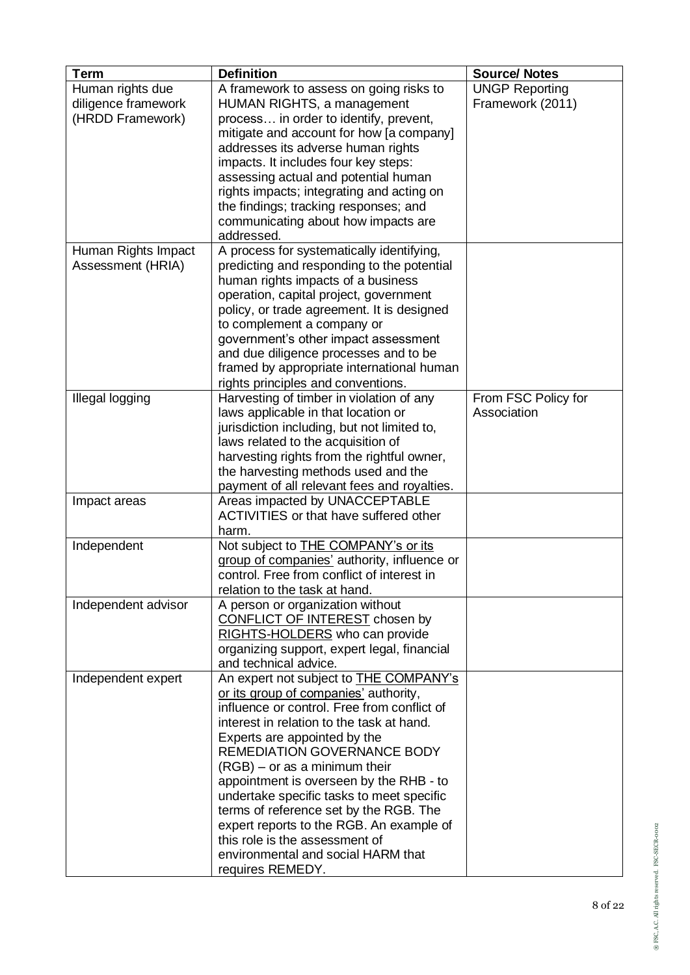| <b>Term</b><br>Human rights due<br>diligence framework<br>(HRDD Framework) | <b>Definition</b><br>A framework to assess on going risks to<br><b>HUMAN RIGHTS, a management</b><br>process in order to identify, prevent,<br>mitigate and account for how [a company]<br>addresses its adverse human rights<br>impacts. It includes four key steps:<br>assessing actual and potential human<br>rights impacts; integrating and acting on<br>the findings; tracking responses; and<br>communicating about how impacts are<br>addressed.                                                                                                              | <b>Source/ Notes</b><br><b>UNGP Reporting</b><br>Framework (2011) |
|----------------------------------------------------------------------------|-----------------------------------------------------------------------------------------------------------------------------------------------------------------------------------------------------------------------------------------------------------------------------------------------------------------------------------------------------------------------------------------------------------------------------------------------------------------------------------------------------------------------------------------------------------------------|-------------------------------------------------------------------|
| Human Rights Impact<br>Assessment (HRIA)                                   | A process for systematically identifying,<br>predicting and responding to the potential<br>human rights impacts of a business<br>operation, capital project, government<br>policy, or trade agreement. It is designed<br>to complement a company or<br>government's other impact assessment<br>and due diligence processes and to be<br>framed by appropriate international human<br>rights principles and conventions.                                                                                                                                               |                                                                   |
| <b>Illegal logging</b>                                                     | Harvesting of timber in violation of any<br>laws applicable in that location or<br>jurisdiction including, but not limited to,<br>laws related to the acquisition of<br>harvesting rights from the rightful owner,<br>the harvesting methods used and the<br>payment of all relevant fees and royalties.                                                                                                                                                                                                                                                              | From FSC Policy for<br>Association                                |
| Impact areas                                                               | Areas impacted by UNACCEPTABLE<br>ACTIVITIES or that have suffered other<br>harm.                                                                                                                                                                                                                                                                                                                                                                                                                                                                                     |                                                                   |
| Independent                                                                | Not subject to <b>THE COMPANY's or its</b><br>group of companies' authority, influence or<br>control. Free from conflict of interest in<br>relation to the task at hand.                                                                                                                                                                                                                                                                                                                                                                                              |                                                                   |
| Independent advisor                                                        | A person or organization without<br><b>CONFLICT OF INTEREST</b> chosen by<br>RIGHTS-HOLDERS who can provide<br>organizing support, expert legal, financial<br>and technical advice.                                                                                                                                                                                                                                                                                                                                                                                   |                                                                   |
| Independent expert                                                         | An expert not subject to <b>THE COMPANY's</b><br>or its group of companies' authority,<br>influence or control. Free from conflict of<br>interest in relation to the task at hand.<br>Experts are appointed by the<br><b>REMEDIATION GOVERNANCE BODY</b><br>$(RGB)$ – or as a minimum their<br>appointment is overseen by the RHB - to<br>undertake specific tasks to meet specific<br>terms of reference set by the RGB. The<br>expert reports to the RGB. An example of<br>this role is the assessment of<br>environmental and social HARM that<br>requires REMEDY. |                                                                   |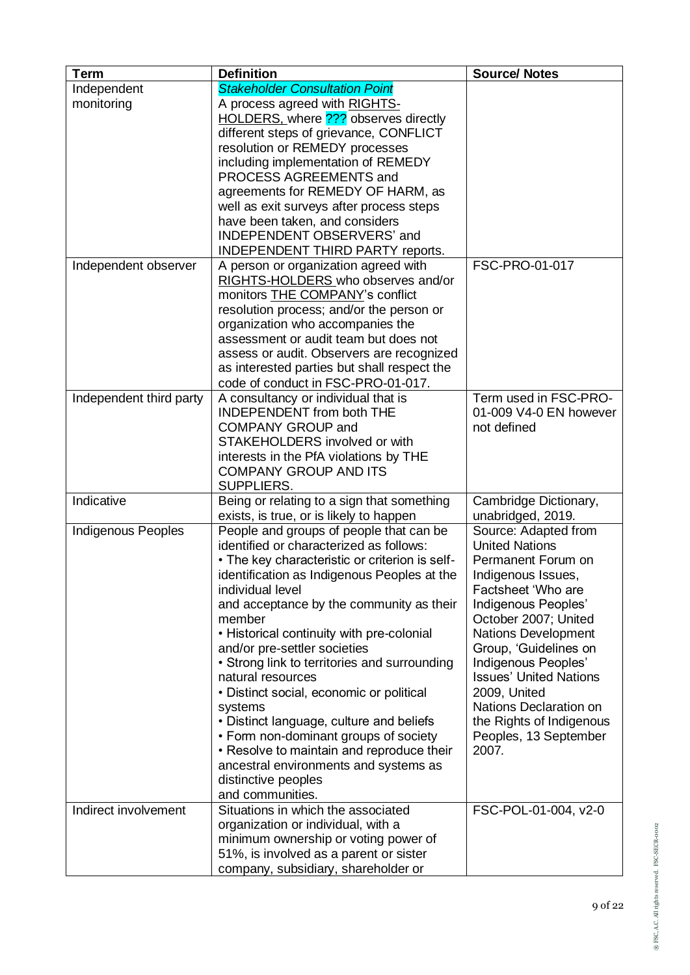| <b>Term</b>             | <b>Definition</b>                                                           | <b>Source/ Notes</b>                                |
|-------------------------|-----------------------------------------------------------------------------|-----------------------------------------------------|
| Independent             | <b>Stakeholder Consultation Point</b>                                       |                                                     |
| monitoring              | A process agreed with RIGHTS-                                               |                                                     |
|                         | HOLDERS, where 2?? observes directly                                        |                                                     |
|                         | different steps of grievance, CONFLICT                                      |                                                     |
|                         | resolution or REMEDY processes                                              |                                                     |
|                         | including implementation of REMEDY                                          |                                                     |
|                         | PROCESS AGREEMENTS and                                                      |                                                     |
|                         | agreements for REMEDY OF HARM, as                                           |                                                     |
|                         | well as exit surveys after process steps                                    |                                                     |
|                         | have been taken, and considers                                              |                                                     |
|                         | INDEPENDENT OBSERVERS' and                                                  |                                                     |
|                         | <b>INDEPENDENT THIRD PARTY reports.</b>                                     |                                                     |
| Independent observer    | A person or organization agreed with                                        | FSC-PRO-01-017                                      |
|                         | RIGHTS-HOLDERS who observes and/or                                          |                                                     |
|                         | monitors THE COMPANY's conflict<br>resolution process; and/or the person or |                                                     |
|                         | organization who accompanies the                                            |                                                     |
|                         | assessment or audit team but does not                                       |                                                     |
|                         | assess or audit. Observers are recognized                                   |                                                     |
|                         | as interested parties but shall respect the                                 |                                                     |
|                         | code of conduct in FSC-PRO-01-017.                                          |                                                     |
| Independent third party | A consultancy or individual that is                                         | Term used in FSC-PRO-                               |
|                         | <b>INDEPENDENT</b> from both THE                                            | 01-009 V4-0 EN however                              |
|                         | <b>COMPANY GROUP and</b>                                                    | not defined                                         |
|                         | STAKEHOLDERS involved or with                                               |                                                     |
|                         | interests in the PfA violations by THE                                      |                                                     |
|                         | <b>COMPANY GROUP AND ITS</b>                                                |                                                     |
|                         | SUPPLIERS.                                                                  |                                                     |
| Indicative              | Being or relating to a sign that something                                  | Cambridge Dictionary,                               |
|                         | exists, is true, or is likely to happen                                     | unabridged, 2019.                                   |
| Indigenous Peoples      | People and groups of people that can be                                     | Source: Adapted from                                |
|                         | identified or characterized as follows:                                     | <b>United Nations</b>                               |
|                         | • The key characteristic or criterion is self-                              | Permanent Forum on                                  |
|                         | identification as Indigenous Peoples at the                                 | Indigenous Issues,                                  |
|                         | individual level                                                            | Factsheet 'Who are                                  |
|                         | and acceptance by the community as their                                    | Indigenous Peoples'                                 |
|                         | member                                                                      | October 2007; United                                |
|                         | • Historical continuity with pre-colonial<br>and/or pre-settler societies   | <b>Nations Development</b><br>Group, 'Guidelines on |
|                         | • Strong link to territories and surrounding                                | Indigenous Peoples'                                 |
|                         | natural resources                                                           | <b>Issues' United Nations</b>                       |
|                         | • Distinct social, economic or political                                    | 2009, United                                        |
|                         | systems                                                                     | Nations Declaration on                              |
|                         | • Distinct language, culture and beliefs                                    | the Rights of Indigenous                            |
|                         | • Form non-dominant groups of society                                       | Peoples, 13 September                               |
|                         | • Resolve to maintain and reproduce their                                   | 2007.                                               |
|                         | ancestral environments and systems as                                       |                                                     |
|                         | distinctive peoples                                                         |                                                     |
|                         | and communities.                                                            |                                                     |
| Indirect involvement    | Situations in which the associated                                          | FSC-POL-01-004, v2-0                                |
|                         | organization or individual, with a                                          |                                                     |
|                         | minimum ownership or voting power of                                        |                                                     |
|                         | 51%, is involved as a parent or sister                                      |                                                     |
|                         | company, subsidiary, shareholder or                                         |                                                     |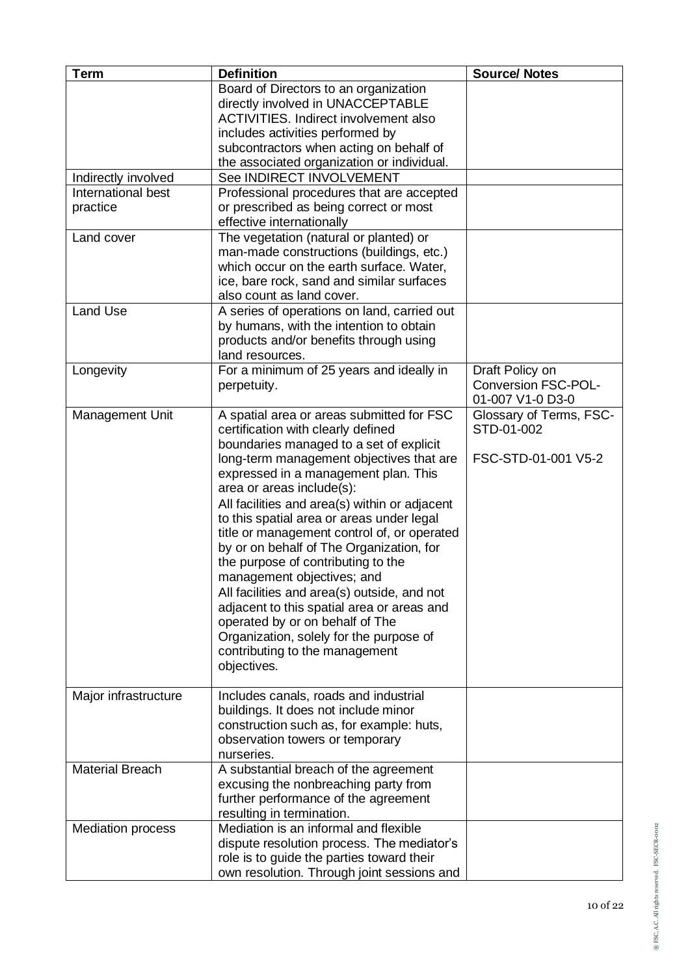| <b>Term</b>                    | <b>Definition</b>                                                                                                                                                                                                                                                                                                                                                                                                                                                                                                                                                                                                                                                                                                                    | <b>Source/ Notes</b>                                              |
|--------------------------------|--------------------------------------------------------------------------------------------------------------------------------------------------------------------------------------------------------------------------------------------------------------------------------------------------------------------------------------------------------------------------------------------------------------------------------------------------------------------------------------------------------------------------------------------------------------------------------------------------------------------------------------------------------------------------------------------------------------------------------------|-------------------------------------------------------------------|
|                                | Board of Directors to an organization<br>directly involved in UNACCEPTABLE<br><b>ACTIVITIES. Indirect involvement also</b><br>includes activities performed by                                                                                                                                                                                                                                                                                                                                                                                                                                                                                                                                                                       |                                                                   |
|                                | subcontractors when acting on behalf of<br>the associated organization or individual.                                                                                                                                                                                                                                                                                                                                                                                                                                                                                                                                                                                                                                                |                                                                   |
| Indirectly involved            | See INDIRECT INVOLVEMENT                                                                                                                                                                                                                                                                                                                                                                                                                                                                                                                                                                                                                                                                                                             |                                                                   |
| International best<br>practice | Professional procedures that are accepted<br>or prescribed as being correct or most<br>effective internationally                                                                                                                                                                                                                                                                                                                                                                                                                                                                                                                                                                                                                     |                                                                   |
| Land cover                     | The vegetation (natural or planted) or<br>man-made constructions (buildings, etc.)<br>which occur on the earth surface. Water,<br>ice, bare rock, sand and similar surfaces<br>also count as land cover.                                                                                                                                                                                                                                                                                                                                                                                                                                                                                                                             |                                                                   |
| <b>Land Use</b>                | A series of operations on land, carried out<br>by humans, with the intention to obtain<br>products and/or benefits through using<br>land resources.                                                                                                                                                                                                                                                                                                                                                                                                                                                                                                                                                                                  |                                                                   |
| Longevity                      | For a minimum of 25 years and ideally in<br>perpetuity.                                                                                                                                                                                                                                                                                                                                                                                                                                                                                                                                                                                                                                                                              | Draft Policy on<br><b>Conversion FSC-POL-</b><br>01-007 V1-0 D3-0 |
| Management Unit                | A spatial area or areas submitted for FSC<br>certification with clearly defined<br>boundaries managed to a set of explicit<br>long-term management objectives that are<br>expressed in a management plan. This<br>area or areas include(s):<br>All facilities and area(s) within or adjacent<br>to this spatial area or areas under legal<br>title or management control of, or operated<br>by or on behalf of The Organization, for<br>the purpose of contributing to the<br>management objectives; and<br>All facilities and area(s) outside, and not<br>adjacent to this spatial area or areas and<br>operated by or on behalf of The<br>Organization, solely for the purpose of<br>contributing to the management<br>objectives. | Glossary of Terms, FSC-<br>STD-01-002<br>FSC-STD-01-001 V5-2      |
| Major infrastructure           | Includes canals, roads and industrial<br>buildings. It does not include minor<br>construction such as, for example: huts,<br>observation towers or temporary<br>nurseries.                                                                                                                                                                                                                                                                                                                                                                                                                                                                                                                                                           |                                                                   |
| <b>Material Breach</b>         | A substantial breach of the agreement<br>excusing the nonbreaching party from<br>further performance of the agreement<br>resulting in termination.                                                                                                                                                                                                                                                                                                                                                                                                                                                                                                                                                                                   |                                                                   |
| <b>Mediation process</b>       | Mediation is an informal and flexible<br>dispute resolution process. The mediator's<br>role is to guide the parties toward their<br>own resolution. Through joint sessions and                                                                                                                                                                                                                                                                                                                                                                                                                                                                                                                                                       |                                                                   |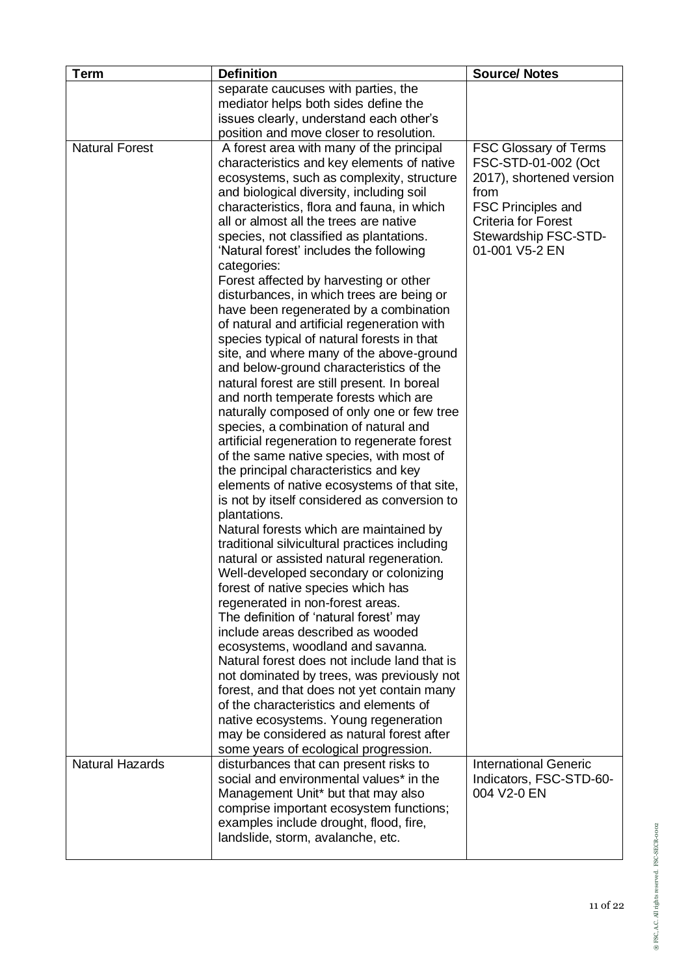| <b>Term</b>            | <b>Definition</b>                                                                          | <b>Source/ Notes</b>         |
|------------------------|--------------------------------------------------------------------------------------------|------------------------------|
|                        | separate caucuses with parties, the                                                        |                              |
|                        | mediator helps both sides define the                                                       |                              |
|                        | issues clearly, understand each other's                                                    |                              |
|                        | position and move closer to resolution.                                                    |                              |
| <b>Natural Forest</b>  | A forest area with many of the principal                                                   | <b>FSC Glossary of Terms</b> |
|                        | characteristics and key elements of native                                                 | FSC-STD-01-002 (Oct          |
|                        | ecosystems, such as complexity, structure                                                  | 2017), shortened version     |
|                        | and biological diversity, including soil                                                   | from                         |
|                        | characteristics, flora and fauna, in which                                                 | <b>FSC Principles and</b>    |
|                        | all or almost all the trees are native                                                     | <b>Criteria for Forest</b>   |
|                        | species, not classified as plantations.                                                    | Stewardship FSC-STD-         |
|                        | 'Natural forest' includes the following                                                    | 01-001 V5-2 EN               |
|                        | categories:                                                                                |                              |
|                        | Forest affected by harvesting or other                                                     |                              |
|                        | disturbances, in which trees are being or<br>have been regenerated by a combination        |                              |
|                        | of natural and artificial regeneration with                                                |                              |
|                        | species typical of natural forests in that                                                 |                              |
|                        | site, and where many of the above-ground                                                   |                              |
|                        | and below-ground characteristics of the                                                    |                              |
|                        | natural forest are still present. In boreal                                                |                              |
|                        | and north temperate forests which are                                                      |                              |
|                        | naturally composed of only one or few tree                                                 |                              |
|                        | species, a combination of natural and                                                      |                              |
|                        | artificial regeneration to regenerate forest                                               |                              |
|                        | of the same native species, with most of                                                   |                              |
|                        | the principal characteristics and key                                                      |                              |
|                        | elements of native ecosystems of that site,                                                |                              |
|                        | is not by itself considered as conversion to                                               |                              |
|                        | plantations.                                                                               |                              |
|                        | Natural forests which are maintained by                                                    |                              |
|                        | traditional silvicultural practices including<br>natural or assisted natural regeneration. |                              |
|                        | Well-developed secondary or colonizing                                                     |                              |
|                        | forest of native species which has                                                         |                              |
|                        | regenerated in non-forest areas.                                                           |                              |
|                        | The definition of 'natural forest' may                                                     |                              |
|                        | include areas described as wooded                                                          |                              |
|                        | ecosystems, woodland and savanna.                                                          |                              |
|                        | Natural forest does not include land that is                                               |                              |
|                        | not dominated by trees, was previously not                                                 |                              |
|                        | forest, and that does not yet contain many                                                 |                              |
|                        | of the characteristics and elements of                                                     |                              |
|                        | native ecosystems. Young regeneration                                                      |                              |
|                        | may be considered as natural forest after                                                  |                              |
| <b>Natural Hazards</b> | some years of ecological progression.                                                      | <b>International Generic</b> |
|                        | disturbances that can present risks to<br>social and environmental values* in the          | Indicators, FSC-STD-60-      |
|                        | Management Unit* but that may also                                                         | 004 V2-0 EN                  |
|                        | comprise important ecosystem functions;                                                    |                              |
|                        | examples include drought, flood, fire,                                                     |                              |
|                        | landslide, storm, avalanche, etc.                                                          |                              |
|                        |                                                                                            |                              |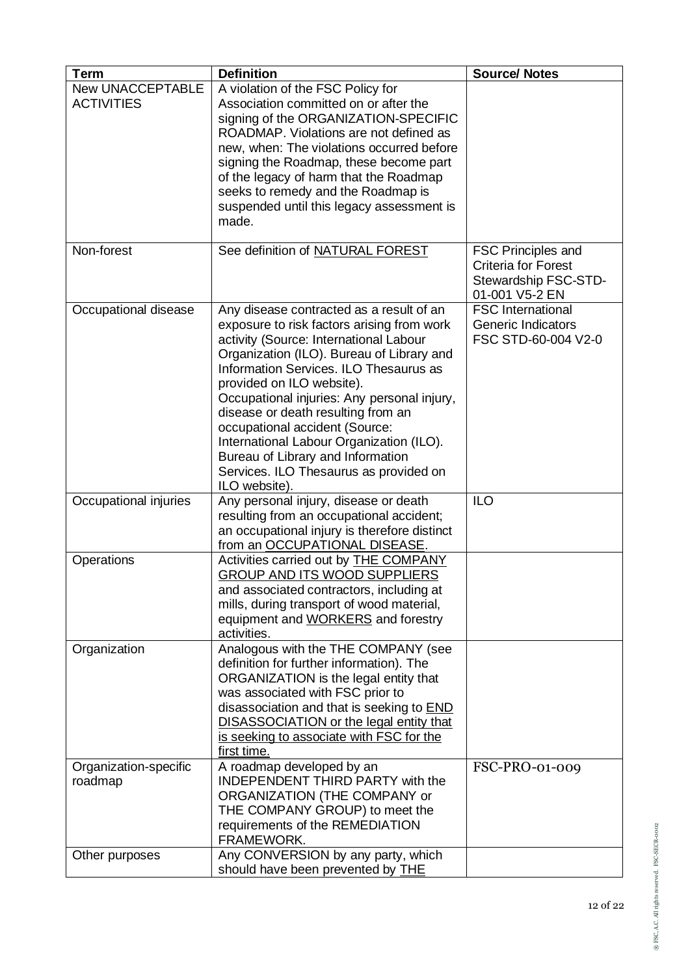| <b>Term</b>                                  | <b>Definition</b>                                                                                                                                                                                                                                                                                                                                                                                                                                                                                                       | <b>Source/ Notes</b>                                                                       |
|----------------------------------------------|-------------------------------------------------------------------------------------------------------------------------------------------------------------------------------------------------------------------------------------------------------------------------------------------------------------------------------------------------------------------------------------------------------------------------------------------------------------------------------------------------------------------------|--------------------------------------------------------------------------------------------|
| <b>New UNACCEPTABLE</b><br><b>ACTIVITIES</b> | A violation of the FSC Policy for<br>Association committed on or after the<br>signing of the ORGANIZATION-SPECIFIC<br>ROADMAP. Violations are not defined as<br>new, when: The violations occurred before<br>signing the Roadmap, these become part<br>of the legacy of harm that the Roadmap<br>seeks to remedy and the Roadmap is<br>suspended until this legacy assessment is<br>made.                                                                                                                               |                                                                                            |
| Non-forest                                   | See definition of NATURAL FOREST                                                                                                                                                                                                                                                                                                                                                                                                                                                                                        | FSC Principles and<br><b>Criteria for Forest</b><br>Stewardship FSC-STD-<br>01-001 V5-2 EN |
| Occupational disease                         | Any disease contracted as a result of an<br>exposure to risk factors arising from work<br>activity (Source: International Labour<br>Organization (ILO). Bureau of Library and<br>Information Services. ILO Thesaurus as<br>provided on ILO website).<br>Occupational injuries: Any personal injury,<br>disease or death resulting from an<br>occupational accident (Source:<br>International Labour Organization (ILO).<br>Bureau of Library and Information<br>Services. ILO Thesaurus as provided on<br>ILO website). | <b>FSC</b> International<br>Generic Indicators<br>FSC STD-60-004 V2-0                      |
| Occupational injuries                        | Any personal injury, disease or death<br>resulting from an occupational accident;<br>an occupational injury is therefore distinct<br>from an OCCUPATIONAL DISEASE.                                                                                                                                                                                                                                                                                                                                                      | <b>ILO</b>                                                                                 |
| Operations                                   | Activities carried out by THE COMPANY<br><b>GROUP AND ITS WOOD SUPPLIERS</b><br>and associated contractors, including at<br>mills, during transport of wood material,<br>equipment and WORKERS and forestry<br>activities.                                                                                                                                                                                                                                                                                              |                                                                                            |
| Organization                                 | Analogous with the THE COMPANY (see<br>definition for further information). The<br>ORGANIZATION is the legal entity that<br>was associated with FSC prior to<br>disassociation and that is seeking to <b>END</b><br><b>DISASSOCIATION or the legal entity that</b><br>is seeking to associate with FSC for the<br>first time.                                                                                                                                                                                           |                                                                                            |
| Organization-specific<br>roadmap             | A roadmap developed by an<br><b>INDEPENDENT THIRD PARTY with the</b><br>ORGANIZATION (THE COMPANY or<br>THE COMPANY GROUP) to meet the<br>requirements of the REMEDIATION<br>FRAMEWORK.                                                                                                                                                                                                                                                                                                                                 | FSC-PRO-01-009                                                                             |
| Other purposes                               | Any CONVERSION by any party, which<br>should have been prevented by THE                                                                                                                                                                                                                                                                                                                                                                                                                                                 |                                                                                            |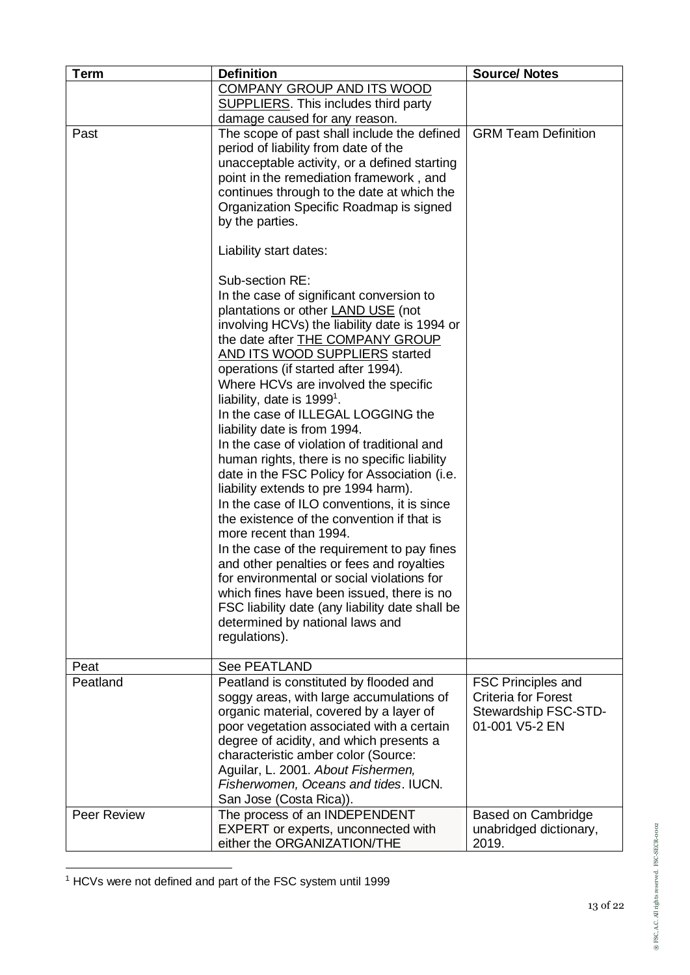| <b>Term</b> | <b>Definition</b>                                                              | <b>Source/ Notes</b>            |
|-------------|--------------------------------------------------------------------------------|---------------------------------|
|             | <b>COMPANY GROUP AND ITS WOOD</b>                                              |                                 |
|             | <b>SUPPLIERS.</b> This includes third party                                    |                                 |
|             | damage caused for any reason.                                                  |                                 |
| Past        | The scope of past shall include the defined                                    | <b>GRM Team Definition</b>      |
|             | period of liability from date of the                                           |                                 |
|             | unacceptable activity, or a defined starting                                   |                                 |
|             | point in the remediation framework, and                                        |                                 |
|             | continues through to the date at which the                                     |                                 |
|             | Organization Specific Roadmap is signed                                        |                                 |
|             | by the parties.                                                                |                                 |
|             | Liability start dates:                                                         |                                 |
|             | Sub-section RE:                                                                |                                 |
|             | In the case of significant conversion to                                       |                                 |
|             | plantations or other <b>LAND USE</b> (not                                      |                                 |
|             | involving HCVs) the liability date is 1994 or                                  |                                 |
|             | the date after <b>THE COMPANY GROUP</b>                                        |                                 |
|             | <b>AND ITS WOOD SUPPLIERS started</b>                                          |                                 |
|             | operations (if started after 1994).                                            |                                 |
|             | Where HCVs are involved the specific<br>liability, date is 1999 <sup>1</sup> . |                                 |
|             | In the case of ILLEGAL LOGGING the                                             |                                 |
|             | liability date is from 1994.                                                   |                                 |
|             | In the case of violation of traditional and                                    |                                 |
|             | human rights, there is no specific liability                                   |                                 |
|             | date in the FSC Policy for Association (i.e.                                   |                                 |
|             | liability extends to pre 1994 harm).                                           |                                 |
|             | In the case of ILO conventions, it is since                                    |                                 |
|             | the existence of the convention if that is                                     |                                 |
|             | more recent than 1994.                                                         |                                 |
|             | In the case of the requirement to pay fines                                    |                                 |
|             | and other penalties or fees and royalties                                      |                                 |
|             | for environmental or social violations for                                     |                                 |
|             | which fines have been issued, there is no                                      |                                 |
|             | FSC liability date (any liability date shall be                                |                                 |
|             | determined by national laws and                                                |                                 |
|             | regulations).                                                                  |                                 |
| Peat        | See PEATLAND                                                                   |                                 |
| Peatland    | Peatland is constituted by flooded and                                         | <b>FSC Principles and</b>       |
|             | soggy areas, with large accumulations of                                       | <b>Criteria for Forest</b>      |
|             | organic material, covered by a layer of                                        | Stewardship FSC-STD-            |
|             | poor vegetation associated with a certain                                      | 01-001 V5-2 EN                  |
|             | degree of acidity, and which presents a                                        |                                 |
|             | characteristic amber color (Source:                                            |                                 |
|             | Aguilar, L. 2001. About Fishermen,                                             |                                 |
|             | Fisherwomen, Oceans and tides. IUCN.                                           |                                 |
|             | San Jose (Costa Rica)).                                                        |                                 |
| Peer Review | The process of an INDEPENDENT                                                  | Based on Cambridge              |
|             | EXPERT or experts, unconnected with<br>either the ORGANIZATION/THE             | unabridged dictionary,<br>2019. |
|             |                                                                                |                                 |

<sup>1</sup> HCVs were not defined and part of the FSC system until 1999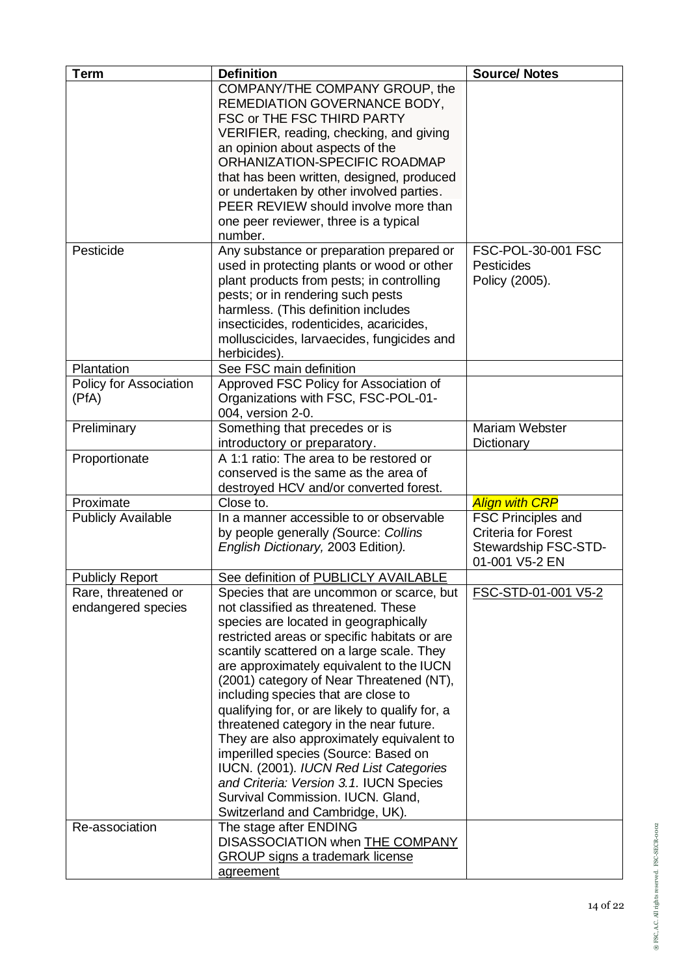| <b>Term</b>                                                 | <b>Definition</b>                                                                                                                                                                                                                                                                                                                                                                                                                                                                                                                                                                                                                                                                                                              | <b>Source/ Notes</b>                                                                              |
|-------------------------------------------------------------|--------------------------------------------------------------------------------------------------------------------------------------------------------------------------------------------------------------------------------------------------------------------------------------------------------------------------------------------------------------------------------------------------------------------------------------------------------------------------------------------------------------------------------------------------------------------------------------------------------------------------------------------------------------------------------------------------------------------------------|---------------------------------------------------------------------------------------------------|
|                                                             | COMPANY/THE COMPANY GROUP, the<br>REMEDIATION GOVERNANCE BODY,<br>FSC or THE FSC THIRD PARTY<br>VERIFIER, reading, checking, and giving<br>an opinion about aspects of the<br>ORHANIZATION-SPECIFIC ROADMAP<br>that has been written, designed, produced<br>or undertaken by other involved parties.<br>PEER REVIEW should involve more than<br>one peer reviewer, three is a typical<br>number.                                                                                                                                                                                                                                                                                                                               |                                                                                                   |
| Pesticide                                                   | Any substance or preparation prepared or<br>used in protecting plants or wood or other<br>plant products from pests; in controlling<br>pests; or in rendering such pests<br>harmless. (This definition includes<br>insecticides, rodenticides, acaricides,<br>molluscicides, larvaecides, fungicides and<br>herbicides).                                                                                                                                                                                                                                                                                                                                                                                                       | FSC-POL-30-001 FSC<br><b>Pesticides</b><br>Policy (2005).                                         |
| Plantation                                                  | See FSC main definition                                                                                                                                                                                                                                                                                                                                                                                                                                                                                                                                                                                                                                                                                                        |                                                                                                   |
| Policy for Association<br>(PfA)                             | Approved FSC Policy for Association of<br>Organizations with FSC, FSC-POL-01-<br>004, version 2-0.                                                                                                                                                                                                                                                                                                                                                                                                                                                                                                                                                                                                                             |                                                                                                   |
| Preliminary                                                 | Something that precedes or is<br>introductory or preparatory.                                                                                                                                                                                                                                                                                                                                                                                                                                                                                                                                                                                                                                                                  | Mariam Webster<br>Dictionary                                                                      |
| Proportionate                                               | A 1:1 ratio: The area to be restored or<br>conserved is the same as the area of<br>destroyed HCV and/or converted forest.                                                                                                                                                                                                                                                                                                                                                                                                                                                                                                                                                                                                      |                                                                                                   |
| Proximate                                                   | Close to.                                                                                                                                                                                                                                                                                                                                                                                                                                                                                                                                                                                                                                                                                                                      | <b>Align with CRP</b>                                                                             |
| <b>Publicly Available</b>                                   | In a manner accessible to or observable<br>by people generally (Source: Collins<br>English Dictionary, 2003 Edition).                                                                                                                                                                                                                                                                                                                                                                                                                                                                                                                                                                                                          | <b>FSC Principles and</b><br><b>Criteria for Forest</b><br>Stewardship FSC-STD-<br>01-001 V5-2 EN |
| <b>Publicly Report</b>                                      | See definition of PUBLICLY AVAILABLE                                                                                                                                                                                                                                                                                                                                                                                                                                                                                                                                                                                                                                                                                           |                                                                                                   |
| Rare, threatened or<br>endangered species<br>Re-association | Species that are uncommon or scarce, but<br>not classified as threatened. These<br>species are located in geographically<br>restricted areas or specific habitats or are<br>scantily scattered on a large scale. They<br>are approximately equivalent to the IUCN<br>(2001) category of Near Threatened (NT),<br>including species that are close to<br>qualifying for, or are likely to qualify for, a<br>threatened category in the near future.<br>They are also approximately equivalent to<br>imperilled species (Source: Based on<br>IUCN. (2001). IUCN Red List Categories<br>and Criteria: Version 3.1. IUCN Species<br>Survival Commission. IUCN. Gland,<br>Switzerland and Cambridge, UK).<br>The stage after ENDING | FSC-STD-01-001 V5-2                                                                               |
|                                                             | DISASSOCIATION when THE COMPANY<br><b>GROUP</b> signs a trademark license<br>agreement                                                                                                                                                                                                                                                                                                                                                                                                                                                                                                                                                                                                                                         |                                                                                                   |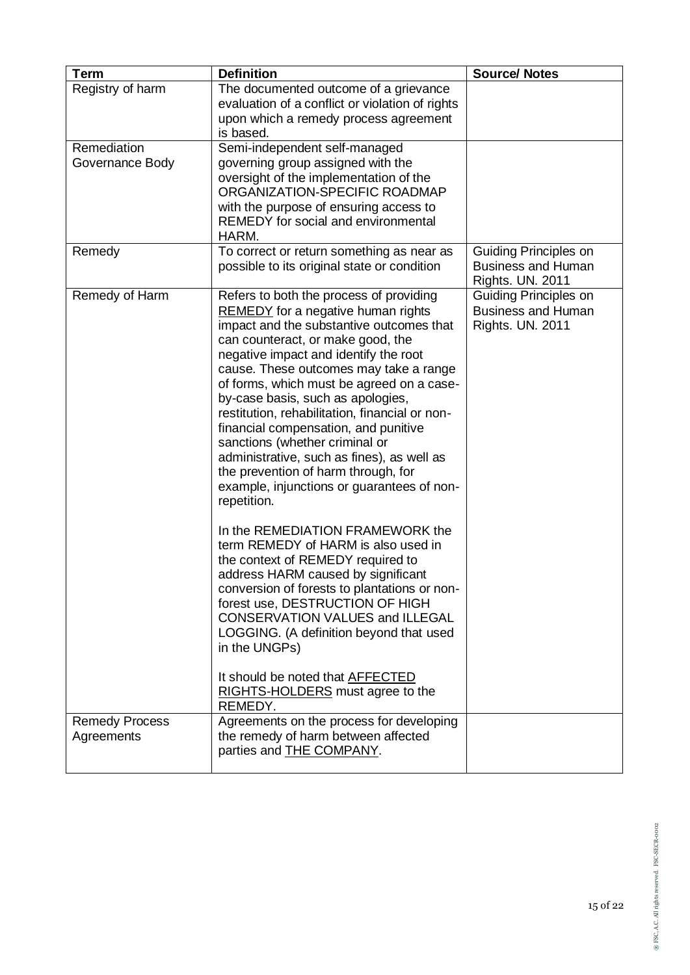| <b>Term</b>                         | <b>Definition</b>                                                                                                                                                                                                                                                                                                                                                                                                                                                                                                                                                                                                        | <b>Source/ Notes</b>                                                          |
|-------------------------------------|--------------------------------------------------------------------------------------------------------------------------------------------------------------------------------------------------------------------------------------------------------------------------------------------------------------------------------------------------------------------------------------------------------------------------------------------------------------------------------------------------------------------------------------------------------------------------------------------------------------------------|-------------------------------------------------------------------------------|
| Registry of harm                    | The documented outcome of a grievance                                                                                                                                                                                                                                                                                                                                                                                                                                                                                                                                                                                    |                                                                               |
|                                     | evaluation of a conflict or violation of rights                                                                                                                                                                                                                                                                                                                                                                                                                                                                                                                                                                          |                                                                               |
|                                     | upon which a remedy process agreement                                                                                                                                                                                                                                                                                                                                                                                                                                                                                                                                                                                    |                                                                               |
|                                     | is based.                                                                                                                                                                                                                                                                                                                                                                                                                                                                                                                                                                                                                |                                                                               |
| Remediation<br>Governance Body      | Semi-independent self-managed<br>governing group assigned with the                                                                                                                                                                                                                                                                                                                                                                                                                                                                                                                                                       |                                                                               |
|                                     | oversight of the implementation of the                                                                                                                                                                                                                                                                                                                                                                                                                                                                                                                                                                                   |                                                                               |
|                                     | ORGANIZATION-SPECIFIC ROADMAP                                                                                                                                                                                                                                                                                                                                                                                                                                                                                                                                                                                            |                                                                               |
|                                     | with the purpose of ensuring access to                                                                                                                                                                                                                                                                                                                                                                                                                                                                                                                                                                                   |                                                                               |
|                                     | <b>REMEDY</b> for social and environmental<br>HARM.                                                                                                                                                                                                                                                                                                                                                                                                                                                                                                                                                                      |                                                                               |
| Remedy                              | To correct or return something as near as<br>possible to its original state or condition                                                                                                                                                                                                                                                                                                                                                                                                                                                                                                                                 | Guiding Principles on<br><b>Business and Human</b>                            |
|                                     |                                                                                                                                                                                                                                                                                                                                                                                                                                                                                                                                                                                                                          | Rights. UN. 2011                                                              |
| Remedy of Harm                      | Refers to both the process of providing<br><b>REMEDY</b> for a negative human rights<br>impact and the substantive outcomes that<br>can counteract, or make good, the<br>negative impact and identify the root<br>cause. These outcomes may take a range<br>of forms, which must be agreed on a case-<br>by-case basis, such as apologies,<br>restitution, rehabilitation, financial or non-<br>financial compensation, and punitive<br>sanctions (whether criminal or<br>administrative, such as fines), as well as<br>the prevention of harm through, for<br>example, injunctions or guarantees of non-<br>repetition. | Guiding Principles on<br><b>Business and Human</b><br><b>Rights. UN. 2011</b> |
|                                     | In the REMEDIATION FRAMEWORK the<br>term REMEDY of HARM is also used in<br>the context of REMEDY required to<br>address HARM caused by significant<br>conversion of forests to plantations or non-<br>forest use, DESTRUCTION OF HIGH<br><b>CONSERVATION VALUES and ILLEGAL</b><br>LOGGING. (A definition beyond that used<br>in the UNGPs)<br>It should be noted that AFFECTED<br>RIGHTS-HOLDERS must agree to the                                                                                                                                                                                                      |                                                                               |
|                                     | REMEDY.                                                                                                                                                                                                                                                                                                                                                                                                                                                                                                                                                                                                                  |                                                                               |
| <b>Remedy Process</b><br>Agreements | Agreements on the process for developing<br>the remedy of harm between affected<br>parties and <b>THE COMPANY</b> .                                                                                                                                                                                                                                                                                                                                                                                                                                                                                                      |                                                                               |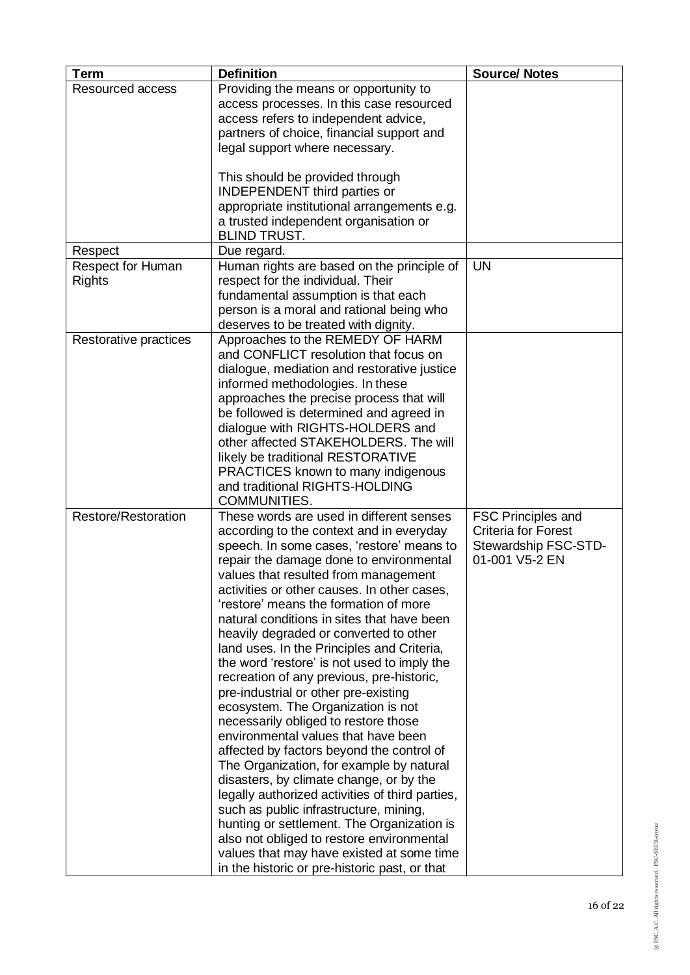| <b>Term</b>                               | <b>Definition</b>                                                                                                                                                                                                                                                                                                                                                                                                                                                                                                                                                                                                                                                                                                                                                                                                                                                                                                                                                                                                                                                                                                                     | <b>Source/ Notes</b>                                                                              |
|-------------------------------------------|---------------------------------------------------------------------------------------------------------------------------------------------------------------------------------------------------------------------------------------------------------------------------------------------------------------------------------------------------------------------------------------------------------------------------------------------------------------------------------------------------------------------------------------------------------------------------------------------------------------------------------------------------------------------------------------------------------------------------------------------------------------------------------------------------------------------------------------------------------------------------------------------------------------------------------------------------------------------------------------------------------------------------------------------------------------------------------------------------------------------------------------|---------------------------------------------------------------------------------------------------|
| Resourced access                          | Providing the means or opportunity to<br>access processes. In this case resourced<br>access refers to independent advice,<br>partners of choice, financial support and<br>legal support where necessary.                                                                                                                                                                                                                                                                                                                                                                                                                                                                                                                                                                                                                                                                                                                                                                                                                                                                                                                              |                                                                                                   |
|                                           | This should be provided through<br><b>INDEPENDENT</b> third parties or<br>appropriate institutional arrangements e.g.<br>a trusted independent organisation or<br><b>BLIND TRUST.</b>                                                                                                                                                                                                                                                                                                                                                                                                                                                                                                                                                                                                                                                                                                                                                                                                                                                                                                                                                 |                                                                                                   |
| Respect                                   | Due regard.                                                                                                                                                                                                                                                                                                                                                                                                                                                                                                                                                                                                                                                                                                                                                                                                                                                                                                                                                                                                                                                                                                                           |                                                                                                   |
| <b>Respect for Human</b><br><b>Rights</b> | Human rights are based on the principle of<br>respect for the individual. Their<br>fundamental assumption is that each<br>person is a moral and rational being who<br>deserves to be treated with dignity.                                                                                                                                                                                                                                                                                                                                                                                                                                                                                                                                                                                                                                                                                                                                                                                                                                                                                                                            | <b>UN</b>                                                                                         |
| Restorative practices                     | Approaches to the REMEDY OF HARM<br>and CONFLICT resolution that focus on<br>dialogue, mediation and restorative justice<br>informed methodologies. In these<br>approaches the precise process that will<br>be followed is determined and agreed in<br>dialogue with RIGHTS-HOLDERS and<br>other affected STAKEHOLDERS. The will<br>likely be traditional RESTORATIVE<br>PRACTICES known to many indigenous<br>and traditional RIGHTS-HOLDING<br>COMMUNITIES.                                                                                                                                                                                                                                                                                                                                                                                                                                                                                                                                                                                                                                                                         |                                                                                                   |
| Restore/Restoration                       | These words are used in different senses<br>according to the context and in everyday<br>speech. In some cases, 'restore' means to<br>repair the damage done to environmental<br>values that resulted from management<br>activities or other causes. In other cases,<br>'restore' means the formation of more<br>natural conditions in sites that have been<br>heavily degraded or converted to other<br>land uses. In the Principles and Criteria,<br>the word 'restore' is not used to imply the<br>recreation of any previous, pre-historic,<br>pre-industrial or other pre-existing<br>ecosystem. The Organization is not<br>necessarily obliged to restore those<br>environmental values that have been<br>affected by factors beyond the control of<br>The Organization, for example by natural<br>disasters, by climate change, or by the<br>legally authorized activities of third parties,<br>such as public infrastructure, mining,<br>hunting or settlement. The Organization is<br>also not obliged to restore environmental<br>values that may have existed at some time<br>in the historic or pre-historic past, or that | <b>FSC Principles and</b><br><b>Criteria for Forest</b><br>Stewardship FSC-STD-<br>01-001 V5-2 EN |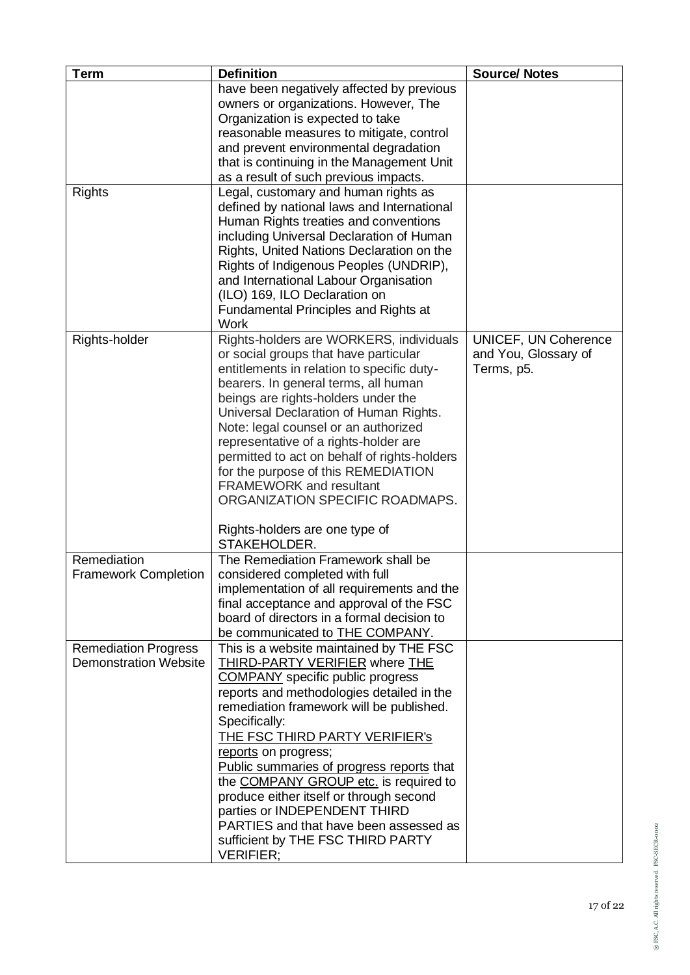| <b>Term</b>                  | <b>Definition</b>                            | <b>Source/ Notes</b> |
|------------------------------|----------------------------------------------|----------------------|
|                              | have been negatively affected by previous    |                      |
|                              | owners or organizations. However, The        |                      |
|                              | Organization is expected to take             |                      |
|                              | reasonable measures to mitigate, control     |                      |
|                              | and prevent environmental degradation        |                      |
|                              | that is continuing in the Management Unit    |                      |
|                              | as a result of such previous impacts.        |                      |
| <b>Rights</b>                | Legal, customary and human rights as         |                      |
|                              | defined by national laws and International   |                      |
|                              | Human Rights treaties and conventions        |                      |
|                              | including Universal Declaration of Human     |                      |
|                              | Rights, United Nations Declaration on the    |                      |
|                              | Rights of Indigenous Peoples (UNDRIP),       |                      |
|                              | and International Labour Organisation        |                      |
|                              | (ILO) 169, ILO Declaration on                |                      |
|                              | <b>Fundamental Principles and Rights at</b>  |                      |
|                              | <b>Work</b>                                  |                      |
| Rights-holder                | Rights-holders are WORKERS, individuals      | UNICEF, UN Coherence |
|                              | or social groups that have particular        | and You, Glossary of |
|                              | entitlements in relation to specific duty-   | Terms, p5.           |
|                              | bearers. In general terms, all human         |                      |
|                              | beings are rights-holders under the          |                      |
|                              | Universal Declaration of Human Rights.       |                      |
|                              | Note: legal counsel or an authorized         |                      |
|                              | representative of a rights-holder are        |                      |
|                              | permitted to act on behalf of rights-holders |                      |
|                              | for the purpose of this REMEDIATION          |                      |
|                              | <b>FRAMEWORK</b> and resultant               |                      |
|                              | ORGANIZATION SPECIFIC ROADMAPS.              |                      |
|                              | Rights-holders are one type of               |                      |
|                              | STAKEHOLDER.                                 |                      |
| Remediation                  | The Remediation Framework shall be           |                      |
| <b>Framework Completion</b>  | considered completed with full               |                      |
|                              | implementation of all requirements and the   |                      |
|                              | final acceptance and approval of the FSC     |                      |
|                              | board of directors in a formal decision to   |                      |
|                              | be communicated to THE COMPANY.              |                      |
| <b>Remediation Progress</b>  | This is a website maintained by THE FSC      |                      |
| <b>Demonstration Website</b> | <b>THIRD-PARTY VERIFIER where THE</b>        |                      |
|                              | <b>COMPANY</b> specific public progress      |                      |
|                              | reports and methodologies detailed in the    |                      |
|                              | remediation framework will be published.     |                      |
|                              | Specifically:                                |                      |
|                              | <b>THE FSC THIRD PARTY VERIFIER's</b>        |                      |
|                              | reports on progress;                         |                      |
|                              | Public summaries of progress reports that    |                      |
|                              | the COMPANY GROUP etc. is required to        |                      |
|                              | produce either itself or through second      |                      |
|                              | parties or INDEPENDENT THIRD                 |                      |
|                              | PARTIES and that have been assessed as       |                      |
|                              | sufficient by THE FSC THIRD PARTY            |                      |
|                              | <b>VERIFIER;</b>                             |                      |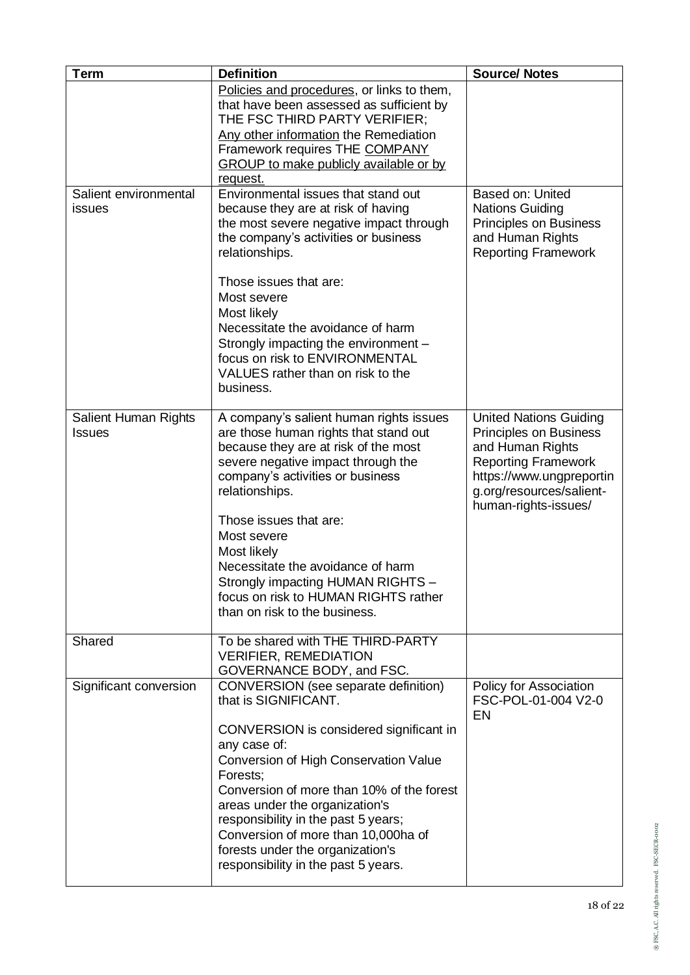| <b>Term</b>                           | <b>Definition</b>                                                                                                                                                                                                                                                                                                                                                                                                                                                                                                      | <b>Source/ Notes</b>                                                                                                                                                                      |
|---------------------------------------|------------------------------------------------------------------------------------------------------------------------------------------------------------------------------------------------------------------------------------------------------------------------------------------------------------------------------------------------------------------------------------------------------------------------------------------------------------------------------------------------------------------------|-------------------------------------------------------------------------------------------------------------------------------------------------------------------------------------------|
|                                       | Policies and procedures, or links to them,<br>that have been assessed as sufficient by<br>THE FSC THIRD PARTY VERIFIER;<br>Any other information the Remediation<br>Framework requires THE COMPANY<br><b>GROUP</b> to make publicly available or by<br>request.                                                                                                                                                                                                                                                        |                                                                                                                                                                                           |
| Salient environmental<br>issues       | Environmental issues that stand out<br>because they are at risk of having<br>the most severe negative impact through<br>the company's activities or business<br>relationships.<br>Those issues that are:<br>Most severe<br>Most likely<br>Necessitate the avoidance of harm<br>Strongly impacting the environment -<br>focus on risk to ENVIRONMENTAL<br>VALUES rather than on risk to the<br>business.                                                                                                                | Based on: United<br><b>Nations Guiding</b><br>Principles on Business<br>and Human Rights<br><b>Reporting Framework</b>                                                                    |
| Salient Human Rights<br><b>Issues</b> | A company's salient human rights issues<br>are those human rights that stand out<br>because they are at risk of the most<br>severe negative impact through the<br>company's activities or business<br>relationships.<br>Those issues that are:<br>Most severe<br>Most likely<br>Necessitate the avoidance of harm<br>Strongly impacting HUMAN RIGHTS -<br>focus on risk to HUMAN RIGHTS rather<br>than on risk to the business.                                                                                        | <b>United Nations Guiding</b><br>Principles on Business<br>and Human Rights<br><b>Reporting Framework</b><br>https://www.ungpreportin<br>g.org/resources/salient-<br>human-rights-issues/ |
| Shared<br>Significant conversion      | To be shared with THE THIRD-PARTY<br><b>VERIFIER, REMEDIATION</b><br>GOVERNANCE BODY, and FSC.<br>CONVERSION (see separate definition)<br>that is SIGNIFICANT.<br>CONVERSION is considered significant in<br>any case of:<br>Conversion of High Conservation Value<br>Forests;<br>Conversion of more than 10% of the forest<br>areas under the organization's<br>responsibility in the past 5 years;<br>Conversion of more than 10,000ha of<br>forests under the organization's<br>responsibility in the past 5 years. | Policy for Association<br>FSC-POL-01-004 V2-0<br><b>EN</b>                                                                                                                                |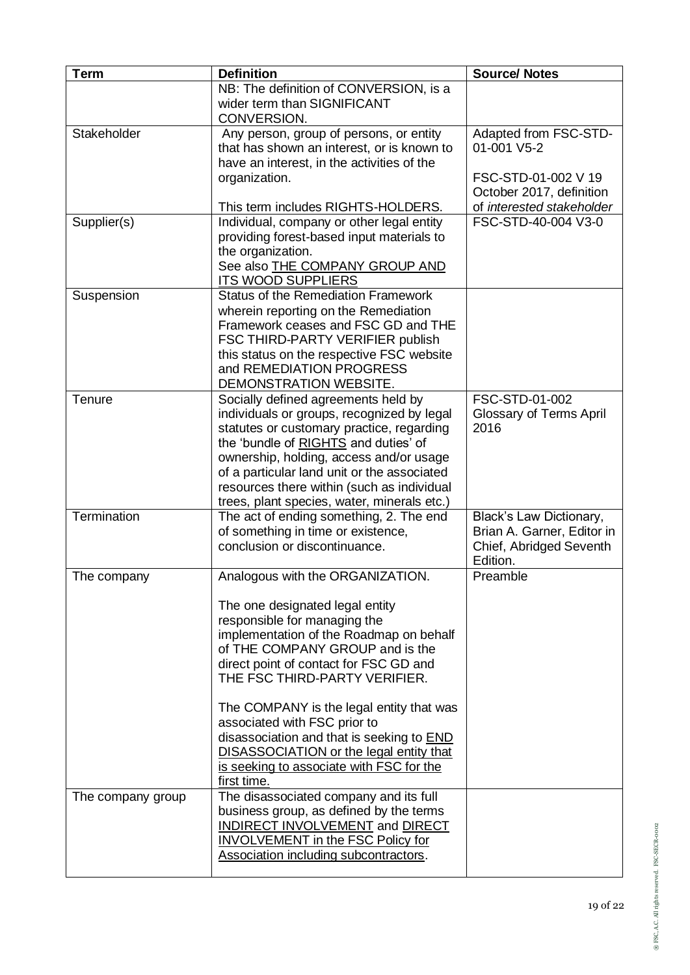| <b>Term</b>       | <b>Definition</b>                                                                                                                                                                                                                                                                                                                                                                                                                                                                                         | <b>Source/ Notes</b>                                                                                |
|-------------------|-----------------------------------------------------------------------------------------------------------------------------------------------------------------------------------------------------------------------------------------------------------------------------------------------------------------------------------------------------------------------------------------------------------------------------------------------------------------------------------------------------------|-----------------------------------------------------------------------------------------------------|
|                   | NB: The definition of CONVERSION, is a<br>wider term than SIGNIFICANT<br>CONVERSION.                                                                                                                                                                                                                                                                                                                                                                                                                      |                                                                                                     |
| Stakeholder       | Any person, group of persons, or entity<br>that has shown an interest, or is known to<br>have an interest, in the activities of the<br>organization.                                                                                                                                                                                                                                                                                                                                                      | Adapted from FSC-STD-<br>01-001 V5-2<br>FSC-STD-01-002 V 19<br>October 2017, definition             |
| Supplier(s)       | This term includes RIGHTS-HOLDERS.<br>Individual, company or other legal entity<br>providing forest-based input materials to<br>the organization.<br>See also THE COMPANY GROUP AND<br><b>ITS WOOD SUPPLIERS</b>                                                                                                                                                                                                                                                                                          | of interested stakeholder<br>FSC-STD-40-004 V3-0                                                    |
| Suspension        | <b>Status of the Remediation Framework</b><br>wherein reporting on the Remediation<br>Framework ceases and FSC GD and THE<br>FSC THIRD-PARTY VERIFIER publish<br>this status on the respective FSC website<br>and REMEDIATION PROGRESS<br>DEMONSTRATION WEBSITE.                                                                                                                                                                                                                                          |                                                                                                     |
| Tenure            | Socially defined agreements held by<br>individuals or groups, recognized by legal<br>statutes or customary practice, regarding<br>the 'bundle of RIGHTS and duties' of<br>ownership, holding, access and/or usage<br>of a particular land unit or the associated<br>resources there within (such as individual<br>trees, plant species, water, minerals etc.)                                                                                                                                             | FSC-STD-01-002<br>Glossary of Terms April<br>2016                                                   |
| Termination       | The act of ending something, 2. The end<br>of something in time or existence,<br>conclusion or discontinuance.                                                                                                                                                                                                                                                                                                                                                                                            | <b>Black's Law Dictionary,</b><br>Brian A. Garner, Editor in<br>Chief, Abridged Seventh<br>Edition. |
| The company       | Analogous with the ORGANIZATION.<br>The one designated legal entity<br>responsible for managing the<br>implementation of the Roadmap on behalf<br>of THE COMPANY GROUP and is the<br>direct point of contact for FSC GD and<br>THE FSC THIRD-PARTY VERIFIER.<br>The COMPANY is the legal entity that was<br>associated with FSC prior to<br>disassociation and that is seeking to <b>END</b><br><b>DISASSOCIATION or the legal entity that</b><br>is seeking to associate with FSC for the<br>first time. | Preamble                                                                                            |
| The company group | The disassociated company and its full<br>business group, as defined by the terms<br>INDIRECT INVOLVEMENT and DIRECT<br><b>INVOLVEMENT in the FSC Policy for</b><br>Association including subcontractors.                                                                                                                                                                                                                                                                                                 |                                                                                                     |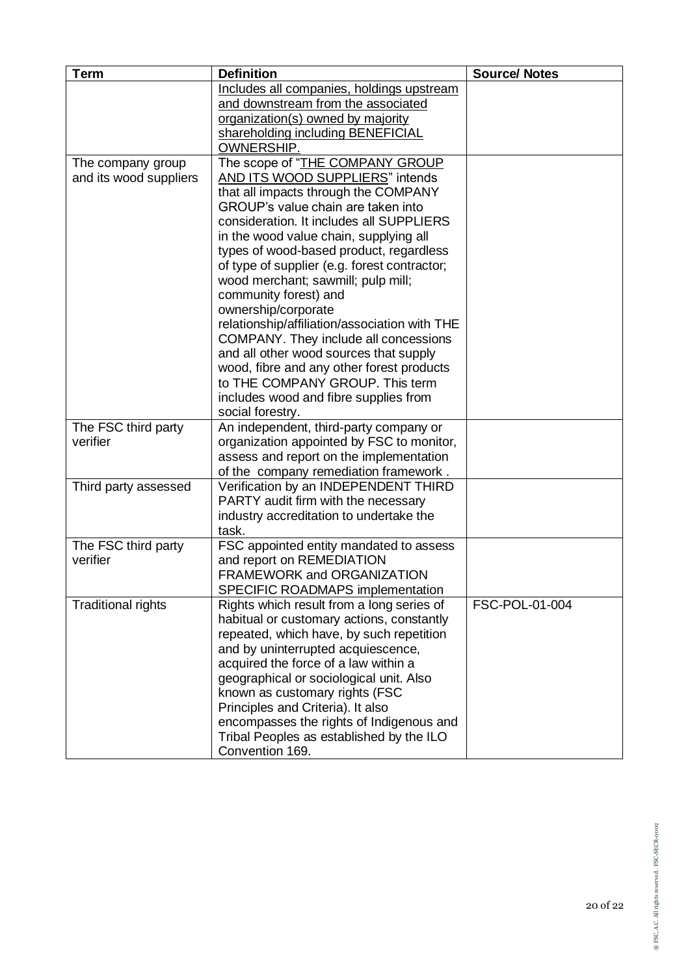| <b>Term</b>               | <b>Definition</b>                                                                | <b>Source/ Notes</b> |
|---------------------------|----------------------------------------------------------------------------------|----------------------|
|                           | Includes all companies, holdings upstream                                        |                      |
|                           | and downstream from the associated                                               |                      |
|                           | organization(s) owned by majority                                                |                      |
|                           | shareholding including BENEFICIAL                                                |                      |
|                           | <b>OWNERSHIP.</b>                                                                |                      |
| The company group         | The scope of "THE COMPANY GROUP                                                  |                      |
| and its wood suppliers    | AND ITS WOOD SUPPLIERS" intends                                                  |                      |
|                           | that all impacts through the COMPANY<br>GROUP's value chain are taken into       |                      |
|                           | consideration. It includes all SUPPLIERS                                         |                      |
|                           | in the wood value chain, supplying all                                           |                      |
|                           | types of wood-based product, regardless                                          |                      |
|                           | of type of supplier (e.g. forest contractor;                                     |                      |
|                           | wood merchant; sawmill; pulp mill;                                               |                      |
|                           | community forest) and                                                            |                      |
|                           | ownership/corporate                                                              |                      |
|                           | relationship/affiliation/association with THE                                    |                      |
|                           | COMPANY. They include all concessions                                            |                      |
|                           | and all other wood sources that supply                                           |                      |
|                           | wood, fibre and any other forest products                                        |                      |
|                           | to THE COMPANY GROUP. This term                                                  |                      |
|                           | includes wood and fibre supplies from                                            |                      |
|                           | social forestry.                                                                 |                      |
| The FSC third party       | An independent, third-party company or                                           |                      |
| verifier                  | organization appointed by FSC to monitor,                                        |                      |
|                           | assess and report on the implementation<br>of the company remediation framework. |                      |
| Third party assessed      | Verification by an INDEPENDENT THIRD                                             |                      |
|                           | PARTY audit firm with the necessary                                              |                      |
|                           | industry accreditation to undertake the                                          |                      |
|                           | task.                                                                            |                      |
| The FSC third party       | FSC appointed entity mandated to assess                                          |                      |
| verifier                  | and report on REMEDIATION                                                        |                      |
|                           | FRAMEWORK and ORGANIZATION                                                       |                      |
|                           | <b>SPECIFIC ROADMAPS implementation</b>                                          |                      |
| <b>Traditional rights</b> | Rights which result from a long series of                                        | FSC-POL-01-004       |
|                           | habitual or customary actions, constantly                                        |                      |
|                           | repeated, which have, by such repetition                                         |                      |
|                           | and by uninterrupted acquiescence,                                               |                      |
|                           | acquired the force of a law within a                                             |                      |
|                           | geographical or sociological unit. Also                                          |                      |
|                           | known as customary rights (FSC<br>Principles and Criteria). It also              |                      |
|                           | encompasses the rights of Indigenous and                                         |                      |
|                           | Tribal Peoples as established by the ILO                                         |                      |
|                           | Convention 169.                                                                  |                      |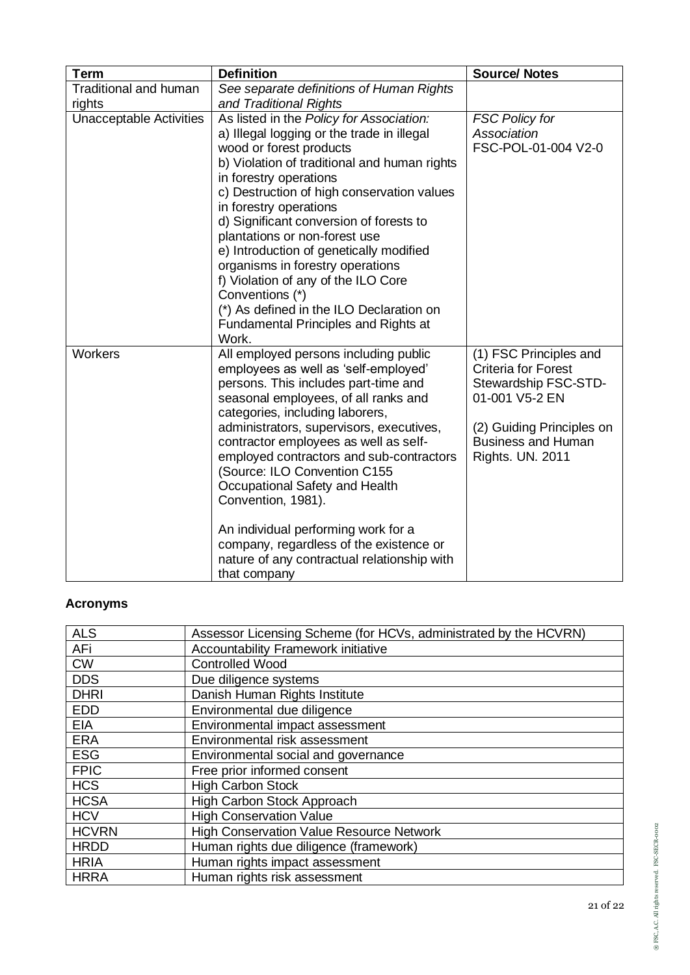| <b>Term</b>                    | <b>Definition</b>                                                                                                                                                                                                                                                                                                                                                                                                                                                                                                                                                                            | <b>Source/ Notes</b>                                                                                                                                                                |
|--------------------------------|----------------------------------------------------------------------------------------------------------------------------------------------------------------------------------------------------------------------------------------------------------------------------------------------------------------------------------------------------------------------------------------------------------------------------------------------------------------------------------------------------------------------------------------------------------------------------------------------|-------------------------------------------------------------------------------------------------------------------------------------------------------------------------------------|
| <b>Traditional and human</b>   | See separate definitions of Human Rights                                                                                                                                                                                                                                                                                                                                                                                                                                                                                                                                                     |                                                                                                                                                                                     |
| rights                         | and Traditional Rights                                                                                                                                                                                                                                                                                                                                                                                                                                                                                                                                                                       |                                                                                                                                                                                     |
| <b>Unacceptable Activities</b> | As listed in the Policy for Association:<br>a) Illegal logging or the trade in illegal<br>wood or forest products<br>b) Violation of traditional and human rights<br>in forestry operations<br>c) Destruction of high conservation values<br>in forestry operations<br>d) Significant conversion of forests to<br>plantations or non-forest use<br>e) Introduction of genetically modified<br>organisms in forestry operations<br>f) Violation of any of the ILO Core<br>Conventions (*)<br>(*) As defined in the ILO Declaration on<br><b>Fundamental Principles and Rights at</b><br>Work. | <b>FSC Policy for</b><br>Association<br>FSC-POL-01-004 V2-0                                                                                                                         |
| Workers                        | All employed persons including public<br>employees as well as 'self-employed'<br>persons. This includes part-time and<br>seasonal employees, of all ranks and<br>categories, including laborers,<br>administrators, supervisors, executives,<br>contractor employees as well as self-<br>employed contractors and sub-contractors<br>(Source: ILO Convention C155<br>Occupational Safety and Health<br>Convention, 1981).<br>An individual performing work for a<br>company, regardless of the existence or<br>nature of any contractual relationship with<br>that company                   | (1) FSC Principles and<br><b>Criteria for Forest</b><br>Stewardship FSC-STD-<br>01-001 V5-2 EN<br>(2) Guiding Principles on<br><b>Business and Human</b><br><b>Rights. UN. 2011</b> |

## **Acronyms**

| <b>ALS</b>   | Assessor Licensing Scheme (for HCVs, administrated by the HCVRN) |
|--------------|------------------------------------------------------------------|
| AFi          | Accountability Framework initiative                              |
| <b>CW</b>    | <b>Controlled Wood</b>                                           |
| <b>DDS</b>   | Due diligence systems                                            |
| <b>DHRI</b>  | Danish Human Rights Institute                                    |
| <b>EDD</b>   | Environmental due diligence                                      |
| <b>EIA</b>   | Environmental impact assessment                                  |
| <b>ERA</b>   | Environmental risk assessment                                    |
| <b>ESG</b>   | Environmental social and governance                              |
| <b>FPIC</b>  | Free prior informed consent                                      |
| <b>HCS</b>   | <b>High Carbon Stock</b>                                         |
| <b>HCSA</b>  | High Carbon Stock Approach                                       |
| <b>HCV</b>   | <b>High Conservation Value</b>                                   |
| <b>HCVRN</b> | <b>High Conservation Value Resource Network</b>                  |
| <b>HRDD</b>  | Human rights due diligence (framework)                           |
| <b>HRIA</b>  | Human rights impact assessment                                   |
| <b>HRRA</b>  | Human rights risk assessment                                     |
|              |                                                                  |